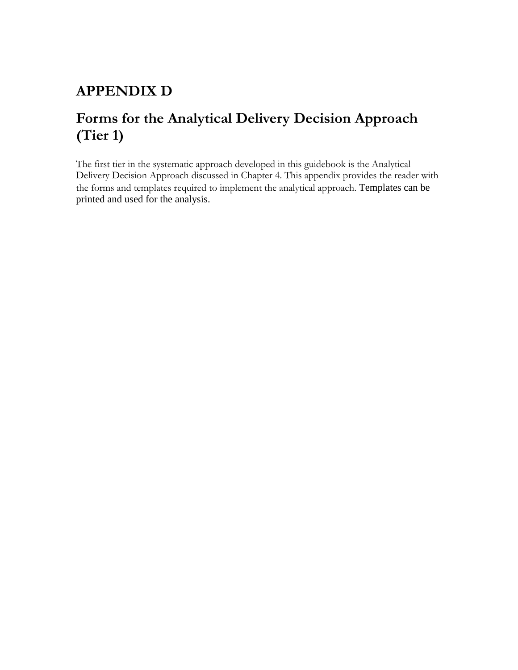# **APPENDIX D**

# **Forms for the Analytical Delivery Decision Approach (Tier 1)**

The first tier in the systematic approach developed in this guidebook is the Analytical Delivery Decision Approach discussed in Chapter 4. This appendix provides the reader with the forms and templates required to implement the analytical approach. Templates can be printed and used for the analysis.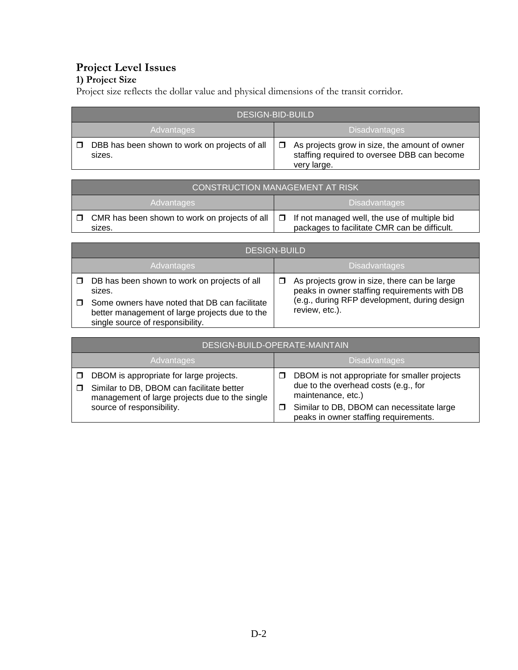# **Project Level Issues**

# **1) Project Size**

Project size reflects the dollar value and physical dimensions of the transit corridor.

| <b>DESIGN-BID-BUILD</b>                                 |                                                                                                             |  |
|---------------------------------------------------------|-------------------------------------------------------------------------------------------------------------|--|
| Advantages                                              | <b>Disadvantages</b>                                                                                        |  |
| DBB has been shown to work on projects of all<br>sizes. | As projects grow in size, the amount of owner<br>staffing required to oversee DBB can become<br>very large. |  |

|                                    | CONSTRUCTION MANAGEMENT AT RISK                         |  |                                                                                                     |
|------------------------------------|---------------------------------------------------------|--|-----------------------------------------------------------------------------------------------------|
| <b>Disadvantages</b><br>Advantages |                                                         |  |                                                                                                     |
| $\Box$                             | CMR has been shown to work on projects of all<br>sizes. |  | $\Box$ If not managed well, the use of multiple bid<br>packages to facilitate CMR can be difficult. |

|        | <b>DESIGN-BUILD</b>                                                                                                                 |  |                                                                                              |
|--------|-------------------------------------------------------------------------------------------------------------------------------------|--|----------------------------------------------------------------------------------------------|
|        | Advantages                                                                                                                          |  | <b>Disadvantages</b>                                                                         |
| $\Box$ | DB has been shown to work on projects of all<br>sizes.                                                                              |  | As projects grow in size, there can be large<br>peaks in owner staffing requirements with DB |
|        | Some owners have noted that DB can facilitate<br>better management of large projects due to the<br>single source of responsibility. |  | (e.g., during RFP development, during design<br>review, etc.).                               |

| DESIGN-BUILD-OPERATE-MAINTAIN                                                                                                                                       |                                                                                                                                                                                                       |  |
|---------------------------------------------------------------------------------------------------------------------------------------------------------------------|-------------------------------------------------------------------------------------------------------------------------------------------------------------------------------------------------------|--|
| Advantages                                                                                                                                                          | <b>Disadvantages</b>                                                                                                                                                                                  |  |
| DBOM is appropriate for large projects.<br>Similar to DB, DBOM can facilitate better<br>management of large projects due to the single<br>source of responsibility. | DBOM is not appropriate for smaller projects<br>due to the overhead costs (e.g., for<br>maintenance, etc.)<br>Similar to DB, DBOM can necessitate large<br>П<br>peaks in owner staffing requirements. |  |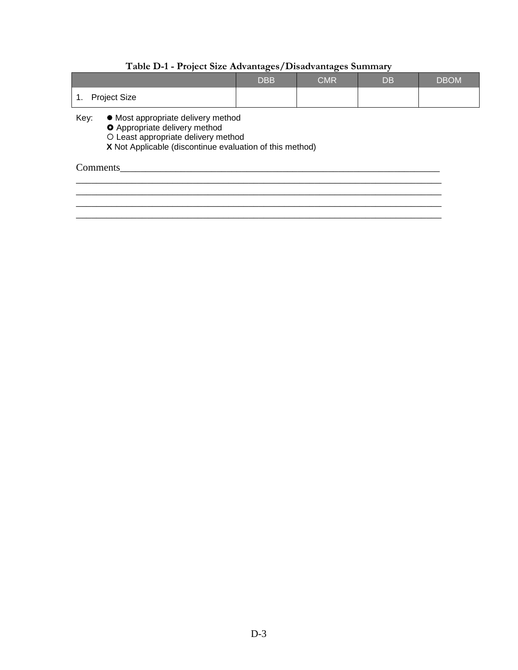### **Table D-1 - Project Size Advantages/Disadvantages Summary**

|                                                                                         | <b>DBB</b> | <b>CMR</b> | DB | <b>DBOM</b> |
|-----------------------------------------------------------------------------------------|------------|------------|----|-------------|
| 1. Project Size                                                                         |            |            |    |             |
| Key:<br>• Most appropriate delivery method<br><b>A</b> A considered a little considered |            |            |    |             |

 $\overline{\phantom{a}}$  ,  $\overline{\phantom{a}}$  ,  $\overline{\phantom{a}}$  ,  $\overline{\phantom{a}}$  ,  $\overline{\phantom{a}}$  ,  $\overline{\phantom{a}}$  ,  $\overline{\phantom{a}}$  ,  $\overline{\phantom{a}}$  ,  $\overline{\phantom{a}}$  ,  $\overline{\phantom{a}}$  ,  $\overline{\phantom{a}}$  ,  $\overline{\phantom{a}}$  ,  $\overline{\phantom{a}}$  ,  $\overline{\phantom{a}}$  ,  $\overline{\phantom{a}}$  ,  $\overline{\phantom{a}}$  $\overline{\phantom{a}}$  , and the contribution of the contribution of the contribution of the contribution of the contribution of the contribution of the contribution of the contribution of the contribution of the contribution of the

\_\_\_\_\_\_\_\_\_\_\_\_\_\_\_\_\_\_\_\_\_\_\_\_\_\_\_\_\_\_\_\_\_\_\_\_\_\_\_\_\_\_\_\_\_\_\_\_\_\_\_\_\_\_\_\_\_\_\_\_\_\_\_\_\_\_\_\_\_\_\_\_

**O** Appropriate delivery method

Least appropriate delivery method

**X** Not Applicable (discontinue evaluation of this method)

# Comments\_\_\_\_\_\_\_\_\_\_\_\_\_\_\_\_\_\_\_\_\_\_\_\_\_\_\_\_\_\_\_\_\_\_\_\_\_\_\_\_\_\_\_\_\_\_\_\_\_\_\_\_\_\_\_\_\_\_\_\_\_\_\_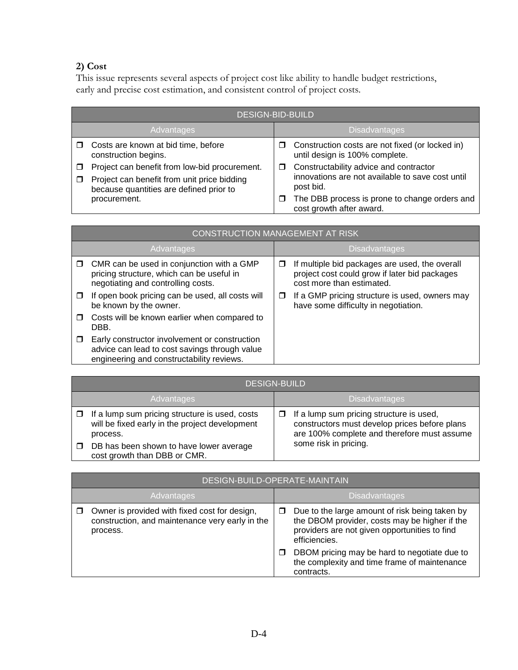# **2) Cost**

This issue represents several aspects of project cost like ability to handle budget restrictions, early and precise cost estimation, and consistent control of project costs.

| <b>DESIGN-BID-BUILD</b>                                                                                                                 |   |                                                                                                         |
|-----------------------------------------------------------------------------------------------------------------------------------------|---|---------------------------------------------------------------------------------------------------------|
| Advantages                                                                                                                              |   | <b>Disadvantages</b>                                                                                    |
| Costs are known at bid time, before<br>construction begins.                                                                             | □ | Construction costs are not fixed (or locked in)<br>until design is 100% complete.                       |
| Project can benefit from low-bid procurement.<br>Project can benefit from unit price bidding<br>because quantities are defined prior to | □ | Constructability advice and contractor<br>innovations are not available to save cost until<br>post bid. |
| procurement.                                                                                                                            | □ | The DBB process is prone to change orders and<br>cost growth after award.                               |

|        | CONSTRUCTION MANAGEMENT AT RISK                                                                                                             |                      |                                                                                                                              |
|--------|---------------------------------------------------------------------------------------------------------------------------------------------|----------------------|------------------------------------------------------------------------------------------------------------------------------|
|        | Advantages                                                                                                                                  | <b>Disadvantages</b> |                                                                                                                              |
| □      | CMR can be used in conjunction with a GMP<br>pricing structure, which can be useful in<br>negotiating and controlling costs.                | □                    | If multiple bid packages are used, the overall<br>project cost could grow if later bid packages<br>cost more than estimated. |
| □      | If open book pricing can be used, all costs will<br>be known by the owner.                                                                  | □                    | If a GMP pricing structure is used, owners may<br>have some difficulty in negotiation.                                       |
| □      | Costs will be known earlier when compared to<br>DBB.                                                                                        |                      |                                                                                                                              |
| $\Box$ | Early constructor involvement or construction<br>advice can lead to cost savings through value<br>engineering and constructability reviews. |                      |                                                                                                                              |

| <b>DESIGN-BUILD</b>                                                                                          |        |                                                                                                                                          |
|--------------------------------------------------------------------------------------------------------------|--------|------------------------------------------------------------------------------------------------------------------------------------------|
| Advantages                                                                                                   |        | <b>Disadvantages</b>                                                                                                                     |
| If a lump sum pricing structure is used, costs<br>will be fixed early in the project development<br>process. | $\Box$ | If a lump sum pricing structure is used,<br>constructors must develop prices before plans<br>are 100% complete and therefore must assume |
| DB has been shown to have lower average<br>cost growth than DBB or CMR.                                      |        | some risk in pricing.                                                                                                                    |

|            | DESIGN-BUILD-OPERATE-MAINTAIN                                                                                |                      |                                                                                                                                                                   |
|------------|--------------------------------------------------------------------------------------------------------------|----------------------|-------------------------------------------------------------------------------------------------------------------------------------------------------------------|
| Advantages |                                                                                                              | <b>Disadvantages</b> |                                                                                                                                                                   |
|            | Owner is provided with fixed cost for design,<br>construction, and maintenance very early in the<br>process. | □                    | Due to the large amount of risk being taken by<br>the DBOM provider, costs may be higher if the<br>providers are not given opportunities to find<br>efficiencies. |
|            |                                                                                                              | □                    | DBOM pricing may be hard to negotiate due to<br>the complexity and time frame of maintenance<br>contracts.                                                        |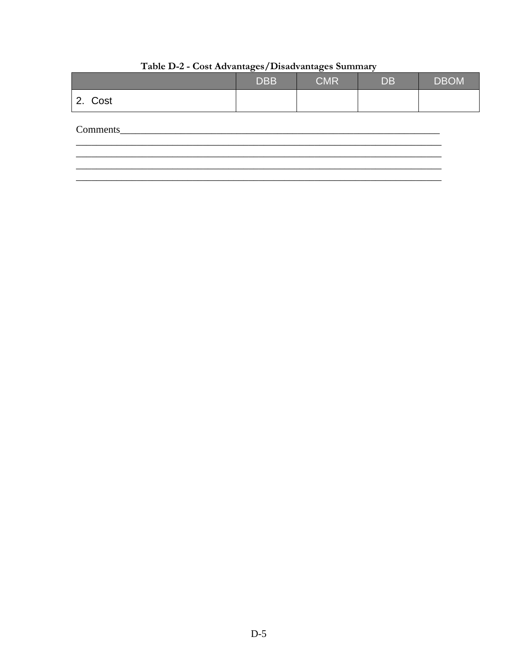|          | <b>DBB</b> | <b>CMR</b> | <b>DB</b> | <b>DBOM</b> |
|----------|------------|------------|-----------|-------------|
| 2. Cost  |            |            |           |             |
| Comments |            |            |           |             |
|          |            |            |           |             |

| Table D-2 - Cost Advantages/Disadvantages Summary |  |
|---------------------------------------------------|--|
|                                                   |  |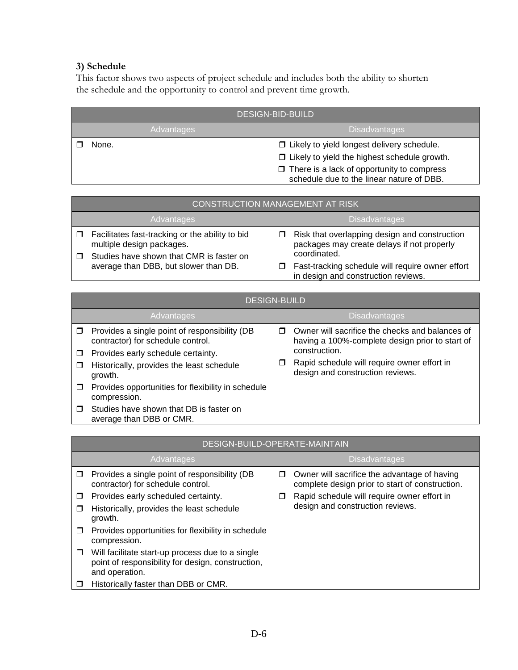# **3) Schedule**

This factor shows two aspects of project schedule and includes both the ability to shorten the schedule and the opportunity to control and prevent time growth.

| <b>DESIGN-BID-BUILD</b> |                                                                                                                                                                                                       |  |
|-------------------------|-------------------------------------------------------------------------------------------------------------------------------------------------------------------------------------------------------|--|
| <b>Advantages</b>       | <b>Disadvantages</b>                                                                                                                                                                                  |  |
| None.                   | □ Likely to yield longest delivery schedule.<br>$\Box$ Likely to yield the highest schedule growth.<br>$\Box$ There is a lack of opportunity to compress<br>schedule due to the linear nature of DBB. |  |

|            | <b>CONSTRUCTION MANAGEMENT AT RISK</b>                                                                                          |                      |                                                                                                             |  |
|------------|---------------------------------------------------------------------------------------------------------------------------------|----------------------|-------------------------------------------------------------------------------------------------------------|--|
| Advantages |                                                                                                                                 | <b>Disadvantages</b> |                                                                                                             |  |
|            | $\Box$ Facilitates fast-tracking or the ability to bid<br>multiple design packages.<br>Studies have shown that CMR is faster on |                      | Risk that overlapping design and construction<br>packages may create delays if not properly<br>coordinated. |  |
|            | average than DBB, but slower than DB.                                                                                           |                      | Fast-tracking schedule will require owner effort<br>in design and construction reviews.                     |  |

|        |                                                                                    | <b>DESIGN-BUILD</b> |                                                                                                    |
|--------|------------------------------------------------------------------------------------|---------------------|----------------------------------------------------------------------------------------------------|
|        | Advantages                                                                         |                     | <b>Disadvantages</b>                                                                               |
| $\Box$ | Provides a single point of responsibility (DB<br>contractor) for schedule control. |                     | Owner will sacrifice the checks and balances of<br>having a 100%-complete design prior to start of |
| □      | Provides early schedule certainty.                                                 |                     | construction.                                                                                      |
| □      | Historically, provides the least schedule<br>growth.                               |                     | Rapid schedule will require owner effort in<br>design and construction reviews.                    |
| $\Box$ | Provides opportunities for flexibility in schedule<br>compression.                 |                     |                                                                                                    |
| П      | Studies have shown that DB is faster on<br>average than DBB or CMR.                |                     |                                                                                                    |

|             | DESIGN-BUILD-OPERATE-MAINTAIN                                                                                           |   |                                                                                                 |  |
|-------------|-------------------------------------------------------------------------------------------------------------------------|---|-------------------------------------------------------------------------------------------------|--|
|             | Advantages                                                                                                              |   | <b>Disadvantages</b>                                                                            |  |
| □           | Provides a single point of responsibility (DB<br>contractor) for schedule control.                                      | □ | Owner will sacrifice the advantage of having<br>complete design prior to start of construction. |  |
| □<br>$\Box$ | Provides early scheduled certainty.<br>Historically, provides the least schedule<br>growth.                             | □ | Rapid schedule will require owner effort in<br>design and construction reviews.                 |  |
| □           | Provides opportunities for flexibility in schedule<br>compression.                                                      |   |                                                                                                 |  |
| $\Box$      | Will facilitate start-up process due to a single<br>point of responsibility for design, construction,<br>and operation. |   |                                                                                                 |  |
|             | Historically faster than DBB or CMR.                                                                                    |   |                                                                                                 |  |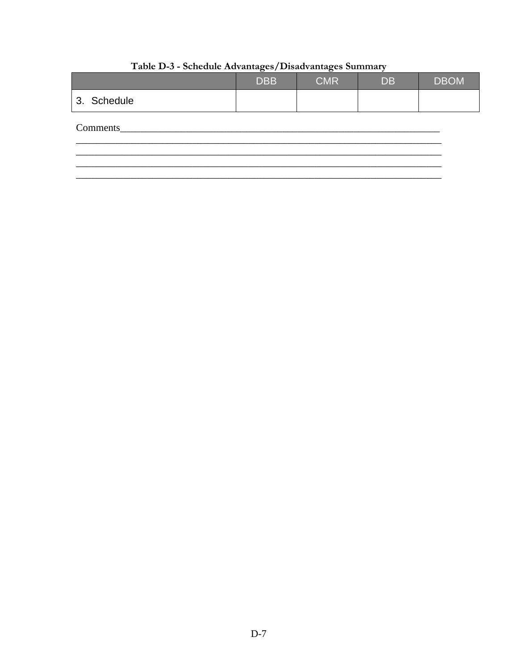|             | <b>DBB</b> | <b>CMR</b> | <b>DB</b> | <b>DBOM</b> |
|-------------|------------|------------|-----------|-------------|
| 3. Schedule |            |            |           |             |
| Comments    |            |            |           |             |
|             |            |            |           |             |

# Table D-3 - Schedule Advantages/Disadvantages Summary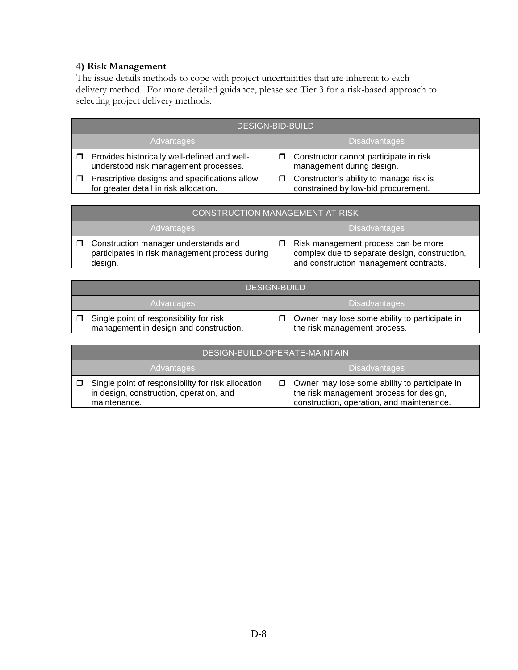#### **4) Risk Management**

The issue details methods to cope with project uncertainties that are inherent to each delivery method. For more detailed guidance, please see Tier 3 for a risk-based approach to selecting project delivery methods.

|                   | DESIGN-BID-BUILD                                                                        |   |                                                                                |  |  |
|-------------------|-----------------------------------------------------------------------------------------|---|--------------------------------------------------------------------------------|--|--|
| <b>Advantages</b> |                                                                                         |   | <b>Disadvantages</b>                                                           |  |  |
| $\Box$            | Provides historically well-defined and well-<br>understood risk management processes.   |   | Constructor cannot participate in risk<br>management during design.            |  |  |
|                   | Prescriptive designs and specifications allow<br>for greater detail in risk allocation. | □ | Constructor's ability to manage risk is<br>constrained by low-bid procurement. |  |  |

| <b>CONSTRUCTION MANAGEMENT AT RISK</b>                                                            |  |                                                                                                                                |
|---------------------------------------------------------------------------------------------------|--|--------------------------------------------------------------------------------------------------------------------------------|
| Advantages                                                                                        |  | <b>Disadvantages</b>                                                                                                           |
| Construction manager understands and<br>participates in risk management process during<br>design. |  | Risk management process can be more<br>complex due to separate design, construction,<br>and construction management contracts. |

| <b>DESIGN-BUILD</b>                                                               |                                                                               |  |
|-----------------------------------------------------------------------------------|-------------------------------------------------------------------------------|--|
| Advantages                                                                        | <b>Disadvantages</b>                                                          |  |
| Single point of responsibility for risk<br>management in design and construction. | Owner may lose some ability to participate in<br>the risk management process. |  |

|        | DESIGN-BUILD-OPERATE-MAINTAIN                                                                                 |        |                                                                                                                                       |
|--------|---------------------------------------------------------------------------------------------------------------|--------|---------------------------------------------------------------------------------------------------------------------------------------|
|        | <b>Advantages</b>                                                                                             |        | Disadvantages                                                                                                                         |
| $\Box$ | Single point of responsibility for risk allocation<br>in design, construction, operation, and<br>maintenance. | $\Box$ | Owner may lose some ability to participate in<br>the risk management process for design,<br>construction, operation, and maintenance. |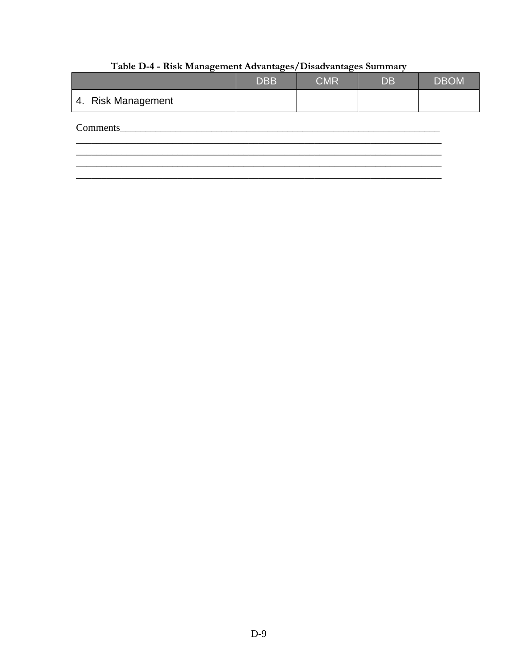|                    | <b>DBB</b> | <b>CMR</b> | <b>DB</b> | <b>DBOM</b> |
|--------------------|------------|------------|-----------|-------------|
| 4. Risk Management |            |            |           |             |
| Comments           |            |            |           |             |
|                    |            |            |           |             |

# Table D-4 - Risk Management Advantages/Disadvantages Summary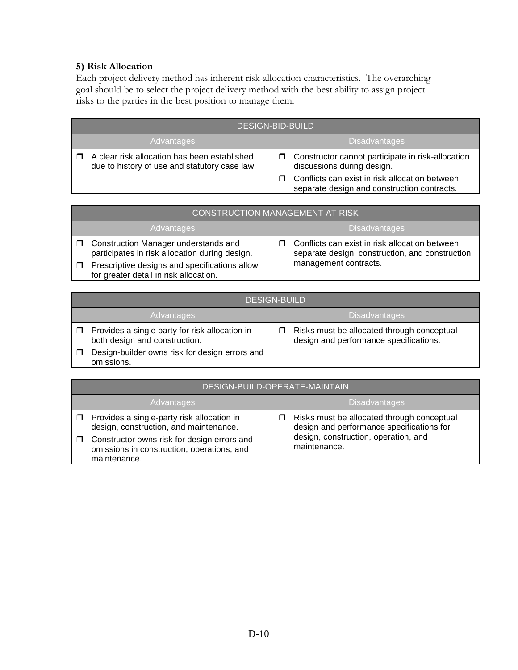#### **5) Risk Allocation**

Each project delivery method has inherent risk-allocation characteristics. The overarching goal should be to select the project delivery method with the best ability to assign project risks to the parties in the best position to manage them.

| <b>DESIGN-BID-BUILD</b>                                                                       |  |                                                                                               |  |  |
|-----------------------------------------------------------------------------------------------|--|-----------------------------------------------------------------------------------------------|--|--|
| <b>Advantages</b>                                                                             |  | <b>Disadvantages</b>                                                                          |  |  |
| A clear risk allocation has been established<br>due to history of use and statutory case law. |  | Constructor cannot participate in risk-allocation<br>discussions during design.               |  |  |
|                                                                                               |  | Conflicts can exist in risk allocation between<br>separate design and construction contracts. |  |  |

| <b>CONSTRUCTION MANAGEMENT AT RISK</b>                                                  |                                                                                                   |  |  |  |
|-----------------------------------------------------------------------------------------|---------------------------------------------------------------------------------------------------|--|--|--|
| <b>Advantages</b>                                                                       | <b>Disadvantages</b>                                                                              |  |  |  |
| Construction Manager understands and<br>participates in risk allocation during design.  | Conflicts can exist in risk allocation between<br>separate design, construction, and construction |  |  |  |
| Prescriptive designs and specifications allow<br>for greater detail in risk allocation. | management contracts.                                                                             |  |  |  |

| <b>DESIGN-BUILD</b>                                                             |                                                                                      |  |  |  |
|---------------------------------------------------------------------------------|--------------------------------------------------------------------------------------|--|--|--|
| Advantages                                                                      | <b>Disadvantages</b>                                                                 |  |  |  |
| Provides a single party for risk allocation in<br>both design and construction. | Risks must be allocated through conceptual<br>design and performance specifications. |  |  |  |
| Design-builder owns risk for design errors and<br>omissions.                    |                                                                                      |  |  |  |

| DESIGN-BUILD-OPERATE-MAINTAIN                                                                             |                      |                                                                                         |  |  |
|-----------------------------------------------------------------------------------------------------------|----------------------|-----------------------------------------------------------------------------------------|--|--|
| Advantages                                                                                                | <b>Disadvantages</b> |                                                                                         |  |  |
| Provides a single-party risk allocation in<br>design, construction, and maintenance.                      |                      | Risks must be allocated through conceptual<br>design and performance specifications for |  |  |
| Constructor owns risk for design errors and<br>omissions in construction, operations, and<br>maintenance. |                      | design, construction, operation, and<br>maintenance.                                    |  |  |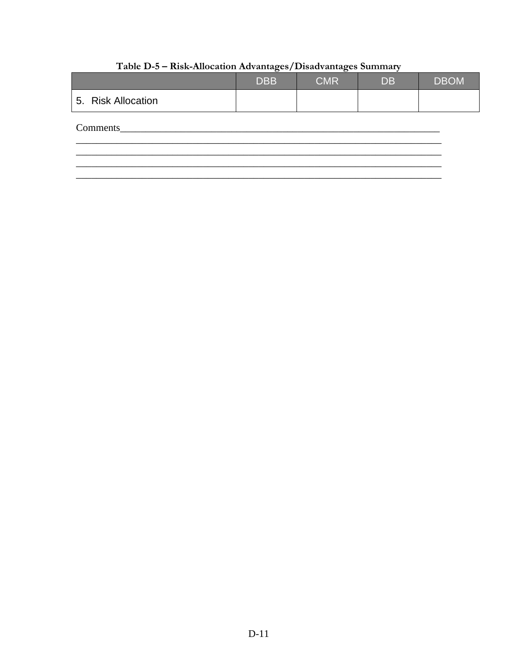|                    | <b>DBB</b> | <b>CMR</b> | <b>DB</b> | <b>DBOM</b> |
|--------------------|------------|------------|-----------|-------------|
| 5. Risk Allocation |            |            |           |             |
| Comments           |            |            |           |             |
|                    |            |            |           |             |

# Table D-5 - Risk-Allocation Advantages/Disadvantages Summary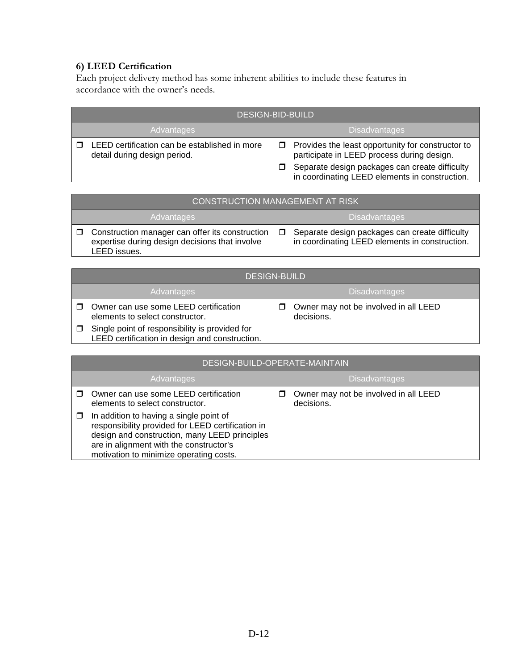# **6) LEED Certification**

Each project delivery method has some inherent abilities to include these features in accordance with the owner's needs.

| <b>DESIGN-BID-BUILD</b>                                                       |                                                                                                       |  |  |  |
|-------------------------------------------------------------------------------|-------------------------------------------------------------------------------------------------------|--|--|--|
| Advantages                                                                    | <b>Disadvantages</b>                                                                                  |  |  |  |
| LEED certification can be established in more<br>detail during design period. | Provides the least opportunity for constructor to<br>п<br>participate in LEED process during design.  |  |  |  |
|                                                                               | Separate design packages can create difficulty<br>□<br>in coordinating LEED elements in construction. |  |  |  |

|                   | <b>CONSTRUCTION MANAGEMENT AT RISK</b>                                                                            |        |                                                                                                  |  |  |
|-------------------|-------------------------------------------------------------------------------------------------------------------|--------|--------------------------------------------------------------------------------------------------|--|--|
| <b>Advantages</b> |                                                                                                                   |        | <b>Disadvantages</b>                                                                             |  |  |
|                   | Construction manager can offer its construction<br>expertise during design decisions that involve<br>LEED issues. | $\Box$ | Separate design packages can create difficulty<br>in coordinating LEED elements in construction. |  |  |

| <b>DESIGN-BUILD</b>                                                                              |                      |                                                     |  |  |
|--------------------------------------------------------------------------------------------------|----------------------|-----------------------------------------------------|--|--|
| <b>Advantages</b>                                                                                | <b>Disadvantages</b> |                                                     |  |  |
| Owner can use some LEED certification<br>elements to select constructor.                         | □                    | Owner may not be involved in all LEED<br>decisions. |  |  |
| Single point of responsibility is provided for<br>LEED certification in design and construction. |                      |                                                     |  |  |

| DESIGN-BUILD-OPERATE-MAINTAIN                                                                                                                                                                                                       |                      |                                                     |  |  |
|-------------------------------------------------------------------------------------------------------------------------------------------------------------------------------------------------------------------------------------|----------------------|-----------------------------------------------------|--|--|
| Advantages                                                                                                                                                                                                                          | <b>Disadvantages</b> |                                                     |  |  |
| Owner can use some LEED certification<br>elements to select constructor.                                                                                                                                                            |                      | Owner may not be involved in all LEED<br>decisions. |  |  |
| In addition to having a single point of<br>responsibility provided for LEED certification in<br>design and construction, many LEED principles<br>are in alignment with the constructor's<br>motivation to minimize operating costs. |                      |                                                     |  |  |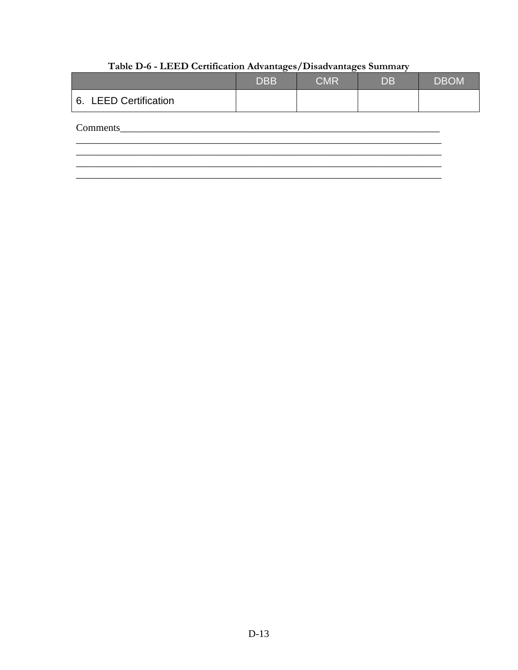|                       | <b>DBB</b> | <b>CMR</b> | <b>DB</b> | <b>DBOM</b> |
|-----------------------|------------|------------|-----------|-------------|
| 6. LEED Certification |            |            |           |             |
| Comments              |            |            |           |             |
|                       |            |            |           |             |

# Table D-6 - LEED Certification Advantages/Disadvantages Summary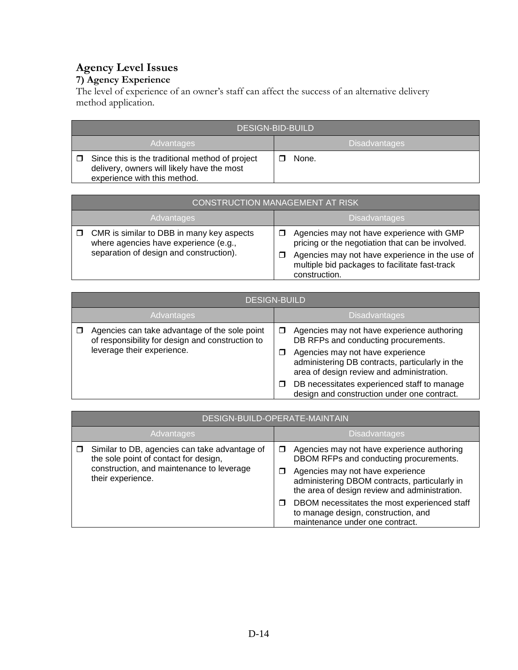# **Agency Level Issues**

### **7) Agency Experience**

The level of experience of an owner's staff can affect the success of an alternative delivery method application.

| <b>DESIGN-BID-BUILD</b>                                                                                                       |  |                      |  |  |
|-------------------------------------------------------------------------------------------------------------------------------|--|----------------------|--|--|
| <b>Advantages</b>                                                                                                             |  | <b>Disadvantages</b> |  |  |
| Since this is the traditional method of project<br>delivery, owners will likely have the most<br>experience with this method. |  | None.                |  |  |

| <b>CONSTRUCTION MANAGEMENT AT RISK</b>                                                                                               |                                                                                                                                                                                                                    |  |  |  |
|--------------------------------------------------------------------------------------------------------------------------------------|--------------------------------------------------------------------------------------------------------------------------------------------------------------------------------------------------------------------|--|--|--|
| Advantages                                                                                                                           | <b>Disadvantages</b>                                                                                                                                                                                               |  |  |  |
| $\Box$ CMR is similar to DBB in many key aspects<br>where agencies have experience (e.g.,<br>separation of design and construction). | Agencies may not have experience with GMP<br>pricing or the negotiation that can be involved.<br>Agencies may not have experience in the use of<br>multiple bid packages to facilitate fast-track<br>construction. |  |  |  |

| <b>DESIGN-BUILD</b>                                                                                                             |                                                                                                                                                                                                                                  |  |  |  |  |
|---------------------------------------------------------------------------------------------------------------------------------|----------------------------------------------------------------------------------------------------------------------------------------------------------------------------------------------------------------------------------|--|--|--|--|
| Advantages                                                                                                                      | <b>Disadvantages</b>                                                                                                                                                                                                             |  |  |  |  |
| Agencies can take advantage of the sole point<br>of responsibility for design and construction to<br>leverage their experience. | Agencies may not have experience authoring<br>□<br>DB RFPs and conducting procurements.<br>Agencies may not have experience<br>□<br>administering DB contracts, particularly in the<br>area of design review and administration. |  |  |  |  |
|                                                                                                                                 | DB necessitates experienced staff to manage<br>design and construction under one contract.                                                                                                                                       |  |  |  |  |

|            | DESIGN-BUILD-OPERATE-MAINTAIN                                                          |                                                                                                                        |                                                                                                                                    |  |  |
|------------|----------------------------------------------------------------------------------------|------------------------------------------------------------------------------------------------------------------------|------------------------------------------------------------------------------------------------------------------------------------|--|--|
| Advantages |                                                                                        |                                                                                                                        | <b>Disadvantages</b>                                                                                                               |  |  |
|            | Similar to DB, agencies can take advantage of<br>the sole point of contact for design, | $\Box$                                                                                                                 | Agencies may not have experience authoring<br>DBOM RFPs and conducting procurements.                                               |  |  |
|            | construction, and maintenance to leverage<br>their experience.                         |                                                                                                                        | Agencies may not have experience<br>administering DBOM contracts, particularly in<br>the area of design review and administration. |  |  |
|            |                                                                                        | DBOM necessitates the most experienced staff<br>to manage design, construction, and<br>maintenance under one contract. |                                                                                                                                    |  |  |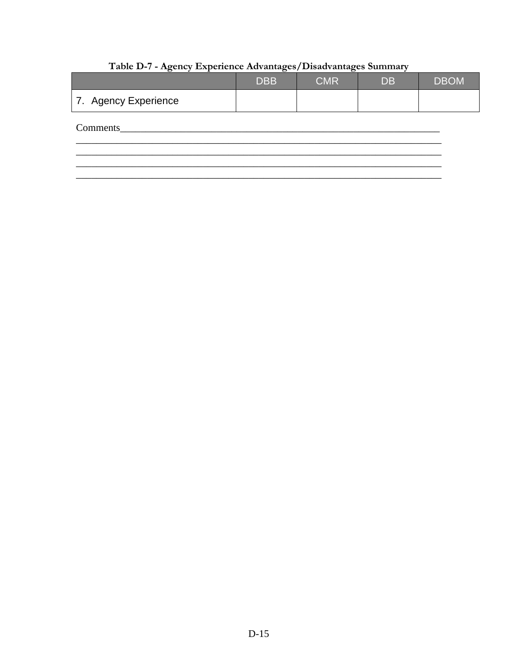|                      | <b>DBB</b> | <b>CMR</b> | <b>DB</b> | <b>DBOM</b> |
|----------------------|------------|------------|-----------|-------------|
| 7. Agency Experience |            |            |           |             |
| Comments             |            |            |           |             |
|                      |            |            |           |             |

# Table D-7 - Agency Experience Advantages/Disadvantages Summary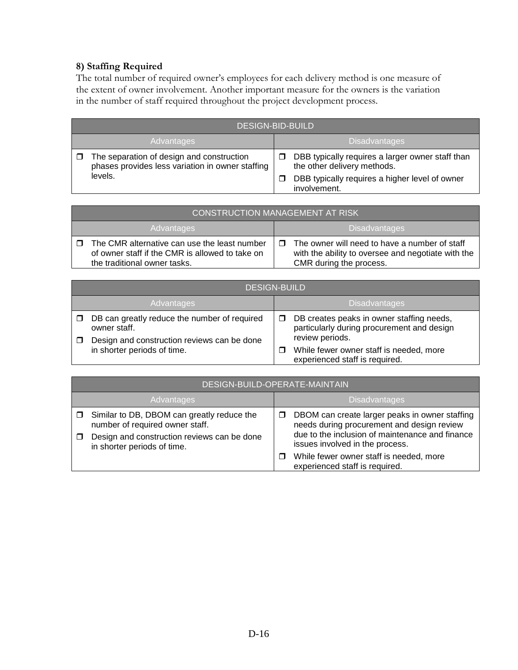# **8) Staffing Required**

The total number of required owner's employees for each delivery method is one measure of the extent of owner involvement. Another important measure for the owners is the variation in the number of staff required throughout the project development process.

| <b>DESIGN-BID-BUILD</b>                                                                       |                                                                                      |  |  |
|-----------------------------------------------------------------------------------------------|--------------------------------------------------------------------------------------|--|--|
| <b>Disadvantages</b><br>Advantages                                                            |                                                                                      |  |  |
| The separation of design and construction<br>phases provides less variation in owner staffing | DBB typically requires a larger owner staff than<br>□<br>the other delivery methods. |  |  |
| levels.                                                                                       | DBB typically requires a higher level of owner<br>involvement.                       |  |  |

| CONSTRUCTION MANAGEMENT AT RISK                                                                                                 |                                                                                                                                     |  |  |
|---------------------------------------------------------------------------------------------------------------------------------|-------------------------------------------------------------------------------------------------------------------------------------|--|--|
| <b>Advantages</b>                                                                                                               | <b>Disadvantages</b>                                                                                                                |  |  |
| The CMR alternative can use the least number<br>of owner staff if the CMR is allowed to take on<br>the traditional owner tasks. | The owner will need to have a number of staff<br>п<br>with the ability to oversee and negotiate with the<br>CMR during the process. |  |  |

|            | <b>DESIGN-BUILD</b>                                                                                         |  |                                                                                                            |  |
|------------|-------------------------------------------------------------------------------------------------------------|--|------------------------------------------------------------------------------------------------------------|--|
| Advantages |                                                                                                             |  | <b>Disadvantages</b>                                                                                       |  |
|            | DB can greatly reduce the number of required<br>owner staff.<br>Design and construction reviews can be done |  | DB creates peaks in owner staffing needs,<br>particularly during procurement and design<br>review periods. |  |
|            | in shorter periods of time.                                                                                 |  | While fewer owner staff is needed, more<br>experienced staff is required.                                  |  |

| DESIGN-BUILD-OPERATE-MAINTAIN                                                                                                                                      |                      |                                                                                                                                                                                    |  |
|--------------------------------------------------------------------------------------------------------------------------------------------------------------------|----------------------|------------------------------------------------------------------------------------------------------------------------------------------------------------------------------------|--|
| Advantages                                                                                                                                                         | <b>Disadvantages</b> |                                                                                                                                                                                    |  |
| $\Box$ Similar to DB, DBOM can greatly reduce the<br>number of required owner staff.<br>Design and construction reviews can be done<br>in shorter periods of time. |                      | DBOM can create larger peaks in owner staffing<br>needs during procurement and design review<br>due to the inclusion of maintenance and finance<br>issues involved in the process. |  |
|                                                                                                                                                                    |                      | While fewer owner staff is needed, more<br>experienced staff is required.                                                                                                          |  |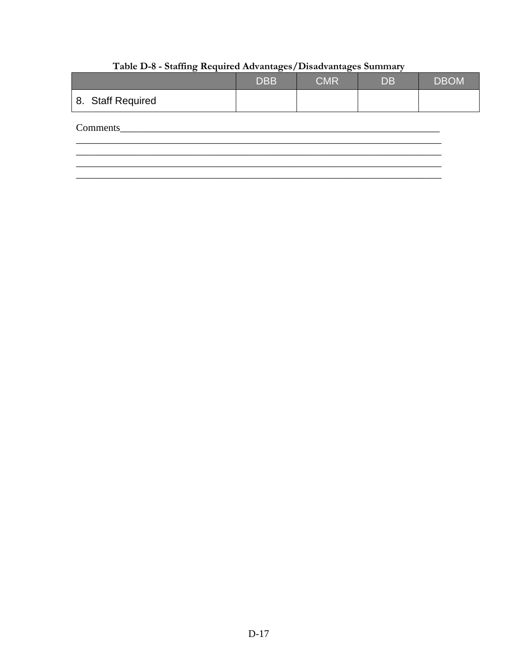|                   | <b>DBB</b> | <b>CMR</b> | <b>DB</b> | <b>DBOM</b> |
|-------------------|------------|------------|-----------|-------------|
| 8. Staff Required |            |            |           |             |
| Comments          |            |            |           |             |
|                   |            |            |           |             |

# Table D-8 - Staffing Required Advantages/Disadvantages Summary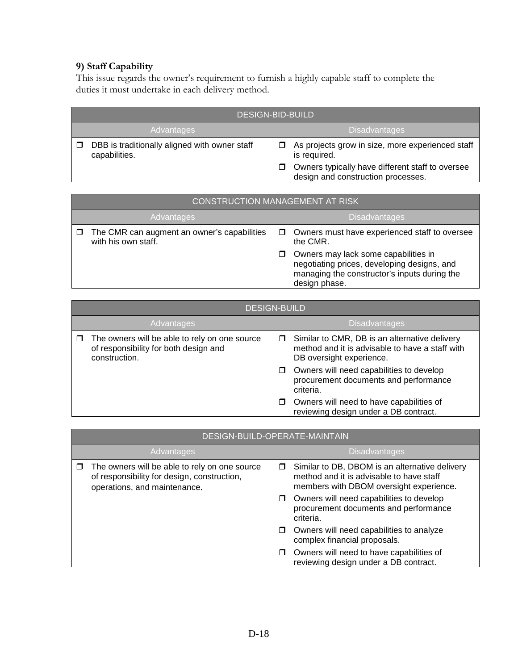# **9) Staff Capability**

This issue regards the owner's requirement to furnish a highly capable staff to complete the duties it must undertake in each delivery method.

| <b>DESIGN-BID-BUILD</b>                                        |                                                                                        |  |  |
|----------------------------------------------------------------|----------------------------------------------------------------------------------------|--|--|
| <b>Disadvantages</b><br>Advantages                             |                                                                                        |  |  |
| DBB is traditionally aligned with owner staff<br>capabilities. | As projects grow in size, more experienced staff<br>is required.                       |  |  |
|                                                                | Owners typically have different staff to oversee<br>design and construction processes. |  |  |

| <b>CONSTRUCTION MANAGEMENT AT RISK</b>                             |                                                                                                                                                                                                                   |  |  |
|--------------------------------------------------------------------|-------------------------------------------------------------------------------------------------------------------------------------------------------------------------------------------------------------------|--|--|
| Advantages                                                         | <b>Disadvantages</b>                                                                                                                                                                                              |  |  |
| The CMR can augment an owner's capabilities<br>with his own staff. | Owners must have experienced staff to oversee<br>the CMR.<br>Owners may lack some capabilities in<br>negotiating prices, developing designs, and<br>managing the constructor's inputs during the<br>design phase. |  |  |

| <b>DESIGN-BUILD</b>                                                                                     |                                                                                                                                   |  |  |
|---------------------------------------------------------------------------------------------------------|-----------------------------------------------------------------------------------------------------------------------------------|--|--|
| Advantages                                                                                              | <b>Disadvantages</b>                                                                                                              |  |  |
| The owners will be able to rely on one source<br>of responsibility for both design and<br>construction. | Similar to CMR, DB is an alternative delivery<br>□<br>method and it is advisable to have a staff with<br>DB oversight experience. |  |  |
|                                                                                                         | Owners will need capabilities to develop<br>procurement documents and performance<br>criteria.                                    |  |  |
|                                                                                                         | Owners will need to have capabilities of<br>reviewing design under a DB contract.                                                 |  |  |

|            | DESIGN-BUILD-OPERATE-MAINTAIN                                                                                                |                      |                                                                                                                                       |  |
|------------|------------------------------------------------------------------------------------------------------------------------------|----------------------|---------------------------------------------------------------------------------------------------------------------------------------|--|
| Advantages |                                                                                                                              | <b>Disadvantages</b> |                                                                                                                                       |  |
|            | The owners will be able to rely on one source<br>of responsibility for design, construction,<br>operations, and maintenance. | □                    | Similar to DB, DBOM is an alternative delivery<br>method and it is advisable to have staff<br>members with DBOM oversight experience. |  |
|            |                                                                                                                              | □                    | Owners will need capabilities to develop<br>procurement documents and performance<br>criteria.                                        |  |
|            |                                                                                                                              | ◘                    | Owners will need capabilities to analyze<br>complex financial proposals.                                                              |  |
|            |                                                                                                                              | □                    | Owners will need to have capabilities of<br>reviewing design under a DB contract.                                                     |  |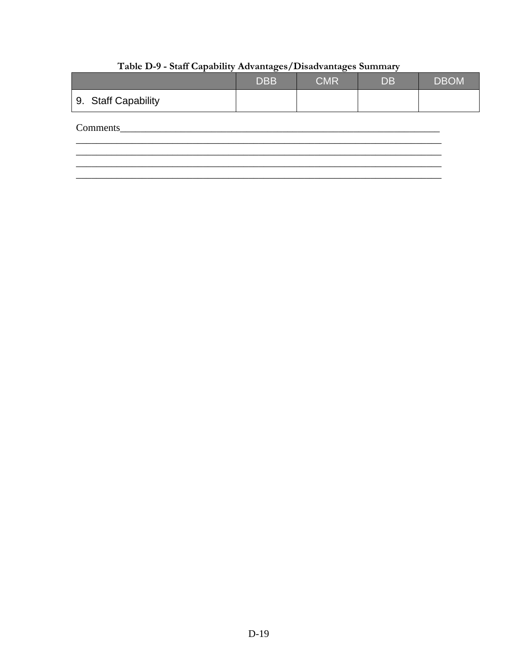|                     | <b>DBB</b> | <b>CMR</b> | <b>DB</b> | <b>DBOM</b> |
|---------------------|------------|------------|-----------|-------------|
| 9. Staff Capability |            |            |           |             |
| Comments            |            |            |           |             |
|                     |            |            |           |             |

# Table D-9 - Staff Capability Advantages/Disadvantages Summary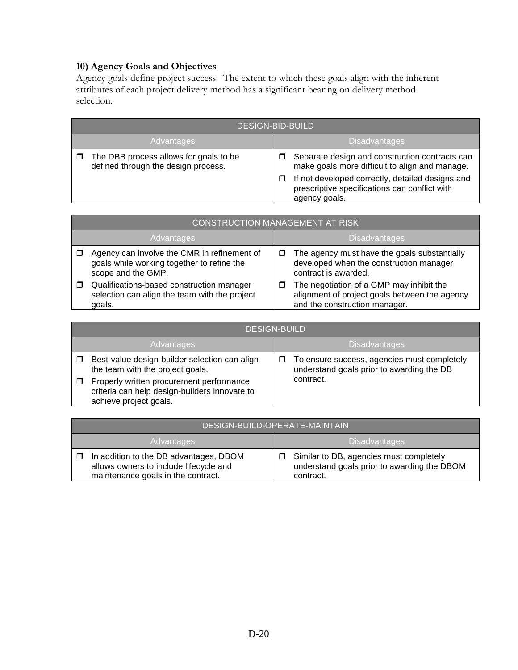# **10) Agency Goals and Objectives**

Agency goals define project success. The extent to which these goals align with the inherent attributes of each project delivery method has a significant bearing on delivery method selection.

|            | <b>DESIGN-BID-BUILD</b>                                                       |   |                                                                                                                    |  |
|------------|-------------------------------------------------------------------------------|---|--------------------------------------------------------------------------------------------------------------------|--|
| Advantages |                                                                               |   | <b>Disadvantages</b>                                                                                               |  |
| ⊓          | The DBB process allows for goals to be<br>defined through the design process. | □ | Separate design and construction contracts can<br>make goals more difficult to align and manage.                   |  |
|            |                                                                               | П | If not developed correctly, detailed designs and<br>prescriptive specifications can conflict with<br>agency goals. |  |

|            | <b>CONSTRUCTION MANAGEMENT AT RISK</b>                                                                          |   |                                                                                                                            |  |  |
|------------|-----------------------------------------------------------------------------------------------------------------|---|----------------------------------------------------------------------------------------------------------------------------|--|--|
| Advantages |                                                                                                                 |   | <b>Disadvantages</b>                                                                                                       |  |  |
|            | Agency can involve the CMR in refinement of<br>goals while working together to refine the<br>scope and the GMP. |   | The agency must have the goals substantially<br>developed when the construction manager<br>contract is awarded.            |  |  |
|            | Qualifications-based construction manager<br>selection can align the team with the project<br>goals.            | □ | The negotiation of a GMP may inhibit the<br>alignment of project goals between the agency<br>and the construction manager. |  |  |

|            | <b>DESIGN-BUILD</b>                                                                                                 |                      |                                                                                          |  |
|------------|---------------------------------------------------------------------------------------------------------------------|----------------------|------------------------------------------------------------------------------------------|--|
| Advantages |                                                                                                                     | <b>Disadvantages</b> |                                                                                          |  |
|            | Best-value design-builder selection can align<br>the team with the project goals.                                   |                      | To ensure success, agencies must completely<br>understand goals prior to awarding the DB |  |
|            | Properly written procurement performance<br>criteria can help design-builders innovate to<br>achieve project goals. |                      | contract.                                                                                |  |

| DESIGN-BUILD-OPERATE-MAINTAIN                                                                                          |                                                                                                     |  |  |
|------------------------------------------------------------------------------------------------------------------------|-----------------------------------------------------------------------------------------------------|--|--|
| <b>Advantages</b>                                                                                                      | <b>Disadvantages</b>                                                                                |  |  |
| In addition to the DB advantages, DBOM<br>allows owners to include lifecycle and<br>maintenance goals in the contract. | Similar to DB, agencies must completely<br>understand goals prior to awarding the DBOM<br>contract. |  |  |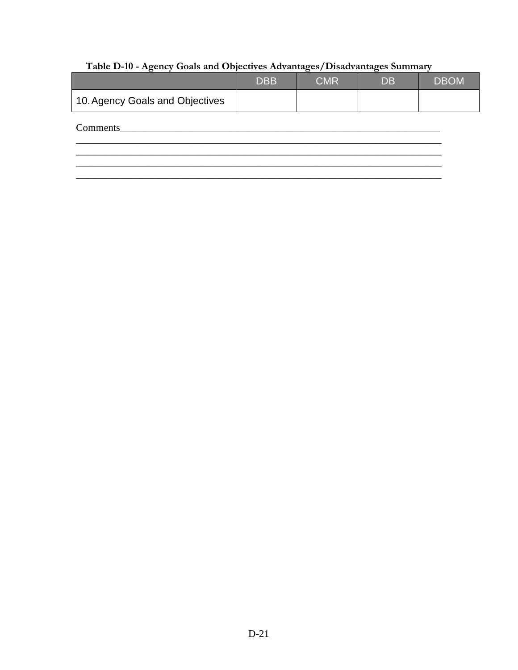# Table D-10 - Agency Goals and Objectives Advantages/Disadvantages Summary

|                                 | <b>DBB</b> | <b>CMR</b> | <b>DB</b> | <b>DBOM</b> |
|---------------------------------|------------|------------|-----------|-------------|
| 10. Agency Goals and Objectives |            |            |           |             |
| Comments                        |            |            |           |             |
|                                 |            |            |           |             |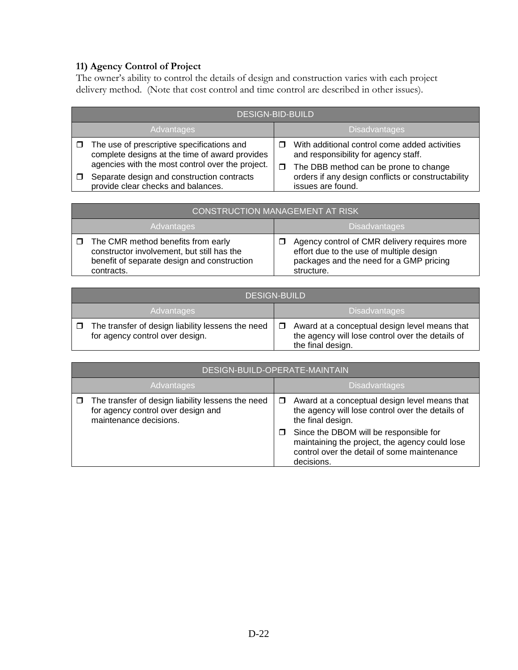#### **11) Agency Control of Project**

The owner's ability to control the details of design and construction varies with each project delivery method. (Note that cost control and time control are described in other issues).

|            | <b>DESIGN-BID-BUILD</b>                                                                                                                          |   |                                                                                                                                |  |
|------------|--------------------------------------------------------------------------------------------------------------------------------------------------|---|--------------------------------------------------------------------------------------------------------------------------------|--|
| Advantages |                                                                                                                                                  |   | <b>Disadvantages</b>                                                                                                           |  |
| □          | The use of prescriptive specifications and<br>complete designs at the time of award provides<br>agencies with the most control over the project. | □ | With additional control come added activities<br>and responsibility for agency staff.<br>The DBB method can be prone to change |  |
|            | Separate design and construction contracts<br>provide clear checks and balances.                                                                 |   | orders if any design conflicts or constructability<br>issues are found.                                                        |  |

| <b>CONSTRUCTION MANAGEMENT AT RISK</b>                                                                                                        |                                                                                                                                                        |  |  |
|-----------------------------------------------------------------------------------------------------------------------------------------------|--------------------------------------------------------------------------------------------------------------------------------------------------------|--|--|
| <b>Advantages</b>                                                                                                                             | <b>Disadvantages</b>                                                                                                                                   |  |  |
| The CMR method benefits from early<br>constructor involvement, but still has the<br>benefit of separate design and construction<br>contracts. | Agency control of CMR delivery requires more<br>□<br>effort due to the use of multiple design<br>packages and the need for a GMP pricing<br>structure. |  |  |

| <b>DESIGN-BUILD</b>                                                                  |                                                                                                                                  |  |  |
|--------------------------------------------------------------------------------------|----------------------------------------------------------------------------------------------------------------------------------|--|--|
| <b>Advantages</b>                                                                    | <b>Disadvantages</b>                                                                                                             |  |  |
| The transfer of design liability lessens the need<br>for agency control over design. | Award at a conceptual design level means that<br>$\Box$<br>the agency will lose control over the details of<br>the final design. |  |  |

|            | DESIGN-BUILD-OPERATE-MAINTAIN                                                                                            |                      |                                                                                                                                                                                                                                                                                 |  |  |
|------------|--------------------------------------------------------------------------------------------------------------------------|----------------------|---------------------------------------------------------------------------------------------------------------------------------------------------------------------------------------------------------------------------------------------------------------------------------|--|--|
| Advantages |                                                                                                                          | <b>Disadvantages</b> |                                                                                                                                                                                                                                                                                 |  |  |
|            | $\Box$ The transfer of design liability lessens the need<br>for agency control over design and<br>maintenance decisions. | □<br>□               | Award at a conceptual design level means that<br>the agency will lose control over the details of<br>the final design.<br>Since the DBOM will be responsible for<br>maintaining the project, the agency could lose<br>control over the detail of some maintenance<br>decisions. |  |  |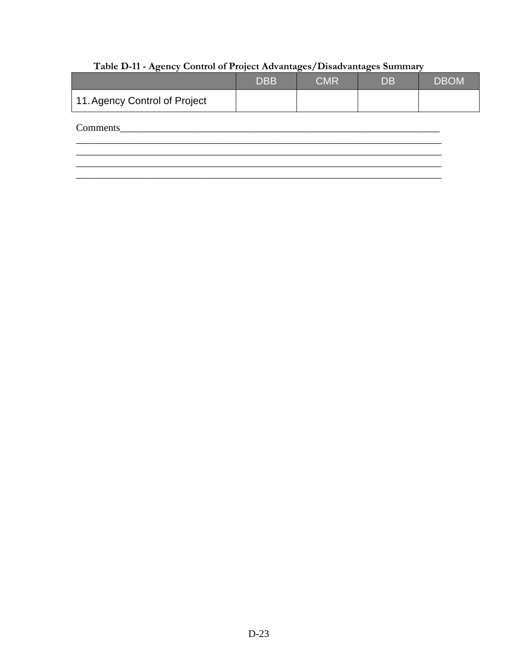# Table D-11 - Agency Control of Project Advantages/Disadvantages Summary

|                               | <b>DBB</b> | <b>CMR</b> | <b>DB</b> | <b>DBOM</b> |
|-------------------------------|------------|------------|-----------|-------------|
| 11. Agency Control of Project |            |            |           |             |
| Comments                      |            |            |           |             |
|                               |            |            |           |             |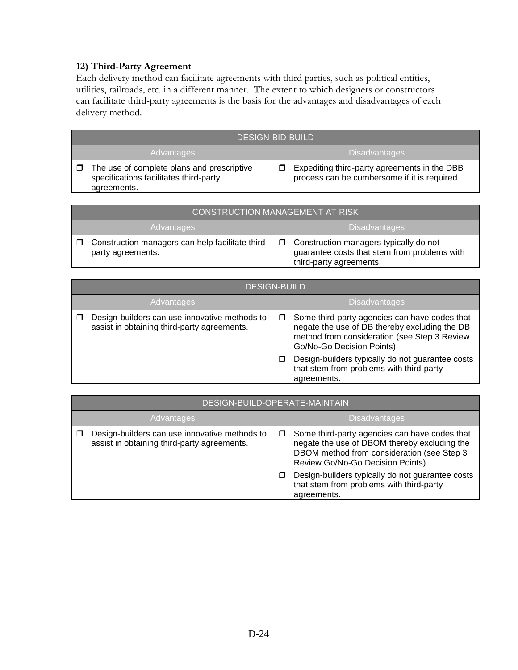#### **12) Third-Party Agreement**

Each delivery method can facilitate agreements with third parties, such as political entities, utilities, railroads, etc. in a different manner. The extent to which designers or constructors can facilitate third-party agreements is the basis for the advantages and disadvantages of each delivery method.

| <b>DESIGN-BID-BUILD</b>                                                                             |                                                                                              |  |  |
|-----------------------------------------------------------------------------------------------------|----------------------------------------------------------------------------------------------|--|--|
| Advantages                                                                                          | <b>Disadvantages</b>                                                                         |  |  |
| The use of complete plans and prescriptive<br>specifications facilitates third-party<br>agreements. | Expediting third-party agreements in the DBB<br>process can be cumbersome if it is required. |  |  |

| <b>CONSTRUCTION MANAGEMENT AT RISK</b>                                |                                                                                                                          |  |  |
|-----------------------------------------------------------------------|--------------------------------------------------------------------------------------------------------------------------|--|--|
| <b>Advantages</b>                                                     | <b>Disadvantages</b>                                                                                                     |  |  |
| Construction managers can help facilitate third-<br>party agreements. | $\Box$ Construction managers typically do not<br>guarantee costs that stem from problems with<br>third-party agreements. |  |  |

| <b>DESIGN-BUILD</b>                                                                          |                                                                                                                                                                              |  |  |
|----------------------------------------------------------------------------------------------|------------------------------------------------------------------------------------------------------------------------------------------------------------------------------|--|--|
| Advantages                                                                                   | <b>Disadvantages</b>                                                                                                                                                         |  |  |
| Design-builders can use innovative methods to<br>assist in obtaining third-party agreements. | Some third-party agencies can have codes that<br>negate the use of DB thereby excluding the DB<br>method from consideration (see Step 3 Review<br>Go/No-Go Decision Points). |  |  |
|                                                                                              | Design-builders typically do not guarantee costs<br>that stem from problems with third-party<br>agreements.                                                                  |  |  |

|            | DESIGN-BUILD-OPERATE-MAINTAIN                                                                |  |                                                                                                                                                                                  |  |
|------------|----------------------------------------------------------------------------------------------|--|----------------------------------------------------------------------------------------------------------------------------------------------------------------------------------|--|
| Advantages |                                                                                              |  | <b>Disadvantages</b>                                                                                                                                                             |  |
|            | Design-builders can use innovative methods to<br>assist in obtaining third-party agreements. |  | Some third-party agencies can have codes that<br>negate the use of DBOM thereby excluding the<br>DBOM method from consideration (see Step 3<br>Review Go/No-Go Decision Points). |  |
|            |                                                                                              |  | Design-builders typically do not guarantee costs<br>that stem from problems with third-party<br>agreements.                                                                      |  |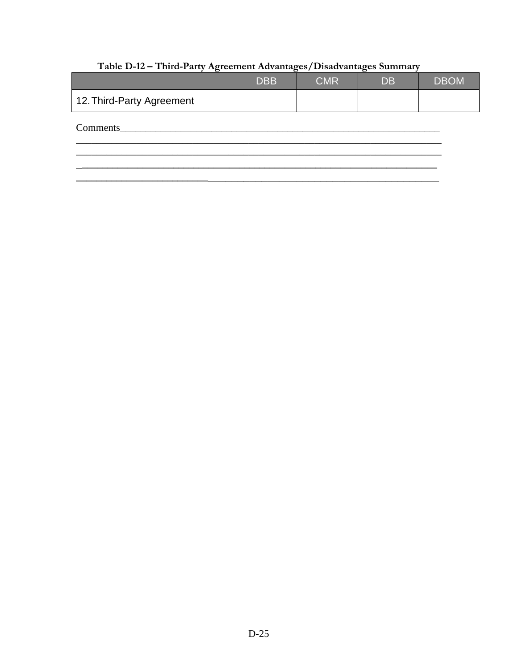|                           | <b>DBB</b> | <b>CMR</b> | <b>DB</b> | <b>DBOM</b> |
|---------------------------|------------|------------|-----------|-------------|
| 12. Third-Party Agreement |            |            |           |             |
| Comments                  |            |            |           |             |
|                           |            |            |           |             |

# Table D-12 - Third-Party Agreement Advantages/Disadvantages Summary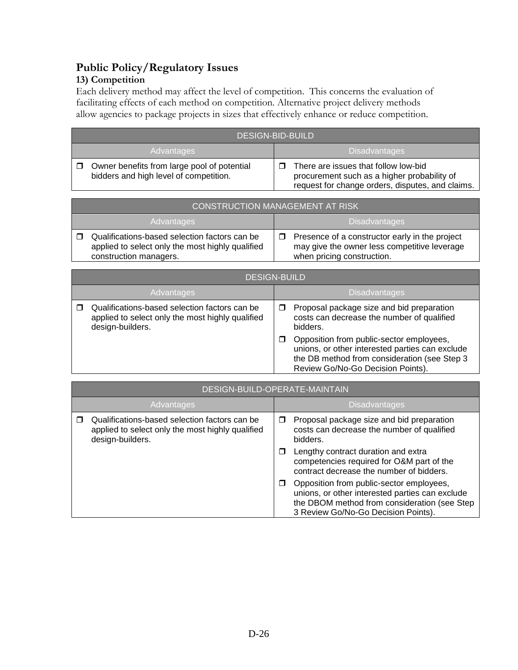# **Public Policy/Regulatory Issues**

#### **13) Competition**

Each delivery method may affect the level of competition. This concerns the evaluation of facilitating effects of each method on competition. Alternative project delivery methods allow agencies to package projects in sizes that effectively enhance or reduce competition.

| <b>DESIGN-BID-BUILD</b>                                                               |                                                                                                                                         |  |  |  |
|---------------------------------------------------------------------------------------|-----------------------------------------------------------------------------------------------------------------------------------------|--|--|--|
| <b>Disadvantages</b><br><b>Advantages</b>                                             |                                                                                                                                         |  |  |  |
| Owner benefits from large pool of potential<br>bidders and high level of competition. | There are issues that follow low-bid<br>procurement such as a higher probability of<br>request for change orders, disputes, and claims. |  |  |  |

|                   | <b>CONSTRUCTION MANAGEMENT AT RISK</b>                                                                                      |  |                                                                                                                              |  |  |
|-------------------|-----------------------------------------------------------------------------------------------------------------------------|--|------------------------------------------------------------------------------------------------------------------------------|--|--|
| <b>Advantages</b> |                                                                                                                             |  | <b>Disadvantages</b>                                                                                                         |  |  |
|                   | Qualifications-based selection factors can be<br>applied to select only the most highly qualified<br>construction managers. |  | Presence of a constructor early in the project<br>may give the owner less competitive leverage<br>when pricing construction. |  |  |

|            | <b>DESIGN-BUILD</b>                                                                                                   |                      |                                                                                                                                                                                  |  |  |
|------------|-----------------------------------------------------------------------------------------------------------------------|----------------------|----------------------------------------------------------------------------------------------------------------------------------------------------------------------------------|--|--|
| Advantages |                                                                                                                       | <b>Disadvantages</b> |                                                                                                                                                                                  |  |  |
|            | Qualifications-based selection factors can be<br>applied to select only the most highly qualified<br>design-builders. |                      | Proposal package size and bid preparation<br>costs can decrease the number of qualified<br>bidders.                                                                              |  |  |
|            |                                                                                                                       |                      | Opposition from public-sector employees,<br>unions, or other interested parties can exclude<br>the DB method from consideration (see Step 3<br>Review Go/No-Go Decision Points). |  |  |

| DESIGN-BUILD-OPERATE-MAINTAIN                                                                                         |        |                                                                                                                                                                                    |  |  |
|-----------------------------------------------------------------------------------------------------------------------|--------|------------------------------------------------------------------------------------------------------------------------------------------------------------------------------------|--|--|
| Advantages                                                                                                            |        | <b>Disadvantages</b>                                                                                                                                                               |  |  |
| Qualifications-based selection factors can be<br>applied to select only the most highly qualified<br>design-builders. | $\Box$ | Proposal package size and bid preparation<br>costs can decrease the number of qualified<br>bidders.                                                                                |  |  |
|                                                                                                                       |        | Lengthy contract duration and extra<br>competencies required for O&M part of the<br>contract decrease the number of bidders.                                                       |  |  |
|                                                                                                                       |        | Opposition from public-sector employees,<br>unions, or other interested parties can exclude<br>the DBOM method from consideration (see Step<br>3 Review Go/No-Go Decision Points). |  |  |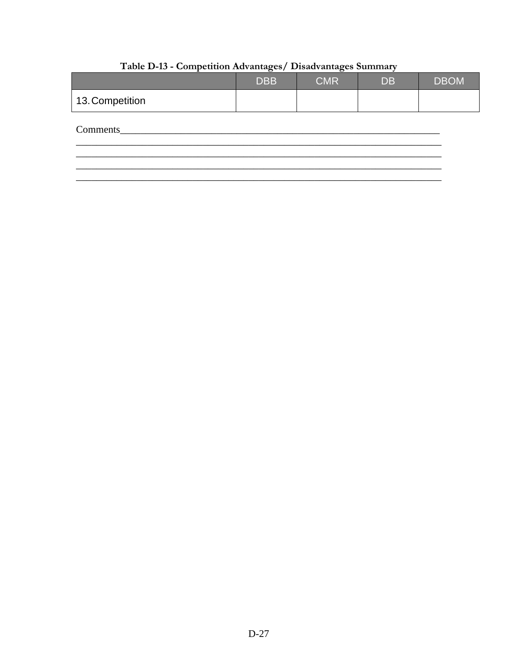|                 | <b>DBB</b> | <b>CMR</b> | <b>DB</b> | <b>DBOM</b> |
|-----------------|------------|------------|-----------|-------------|
| 13. Competition |            |            |           |             |
| Comments        |            |            |           |             |
|                 |            |            |           |             |

# Table D-13 - Competition Advantages/ Disadvantages Summary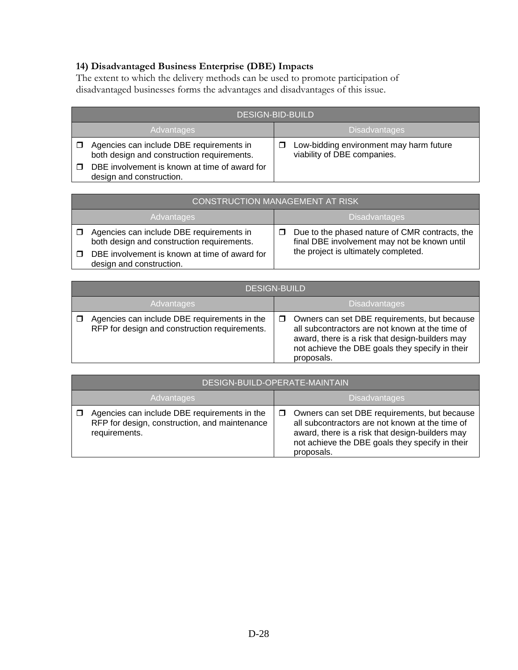# **14) Disadvantaged Business Enterprise (DBE) Impacts**

The extent to which the delivery methods can be used to promote participation of disadvantaged businesses forms the advantages and disadvantages of this issue.

| <b>DESIGN-BID-BUILD</b>                                                                |  |                                                                        |  |  |  |
|----------------------------------------------------------------------------------------|--|------------------------------------------------------------------------|--|--|--|
| <b>Advantages</b>                                                                      |  | <b>Disadvantages</b>                                                   |  |  |  |
| Agencies can include DBE requirements in<br>both design and construction requirements. |  | Low-bidding environment may harm future<br>viability of DBE companies. |  |  |  |
| DBE involvement is known at time of award for<br>design and construction.              |  |                                                                        |  |  |  |

|                   | CONSTRUCTION MANAGEMENT AT RISK                                                                                                                                     |  |                                                                                                                                        |  |  |  |
|-------------------|---------------------------------------------------------------------------------------------------------------------------------------------------------------------|--|----------------------------------------------------------------------------------------------------------------------------------------|--|--|--|
| <b>Advantages</b> |                                                                                                                                                                     |  | <b>Disadvantages</b>                                                                                                                   |  |  |  |
|                   | Agencies can include DBE requirements in<br>both design and construction requirements.<br>DBE involvement is known at time of award for<br>design and construction. |  | Due to the phased nature of CMR contracts, the<br>final DBE involvement may not be known until<br>the project is ultimately completed. |  |  |  |

|            | <b>DESIGN-BUILD</b>                                                                           |   |                                                                                                                                                                                                                     |  |  |
|------------|-----------------------------------------------------------------------------------------------|---|---------------------------------------------------------------------------------------------------------------------------------------------------------------------------------------------------------------------|--|--|
| Advantages |                                                                                               |   | <b>Disadvantages</b>                                                                                                                                                                                                |  |  |
|            | Agencies can include DBE requirements in the<br>RFP for design and construction requirements. | □ | Owners can set DBE requirements, but because<br>all subcontractors are not known at the time of<br>award, there is a risk that design-builders may<br>not achieve the DBE goals they specify in their<br>proposals. |  |  |

| DESIGN-BUILD-OPERATE-MAINTAIN                                                                                  |                      |                                                                                                                                                                                                                     |  |  |
|----------------------------------------------------------------------------------------------------------------|----------------------|---------------------------------------------------------------------------------------------------------------------------------------------------------------------------------------------------------------------|--|--|
| Advantages                                                                                                     | <b>Disadvantages</b> |                                                                                                                                                                                                                     |  |  |
| Agencies can include DBE requirements in the<br>RFP for design, construction, and maintenance<br>requirements. |                      | Owners can set DBE requirements, but because<br>all subcontractors are not known at the time of<br>award, there is a risk that design-builders may<br>not achieve the DBE goals they specify in their<br>proposals. |  |  |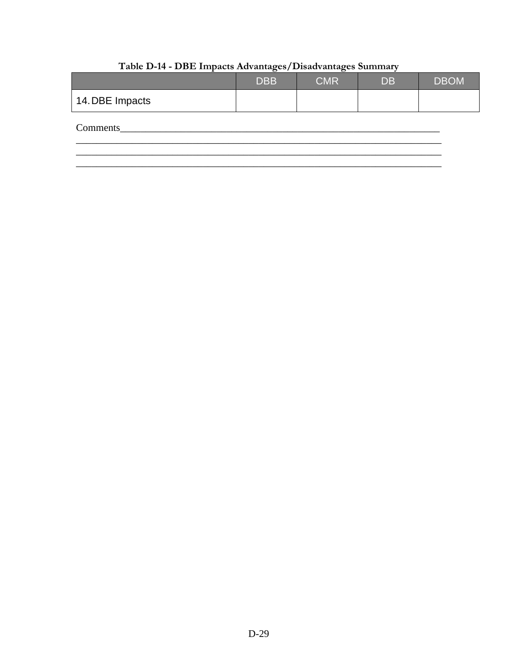|                 | <b>DBB</b> | <b>CMR</b> | <b>DB</b> | <b>DBOM</b> |
|-----------------|------------|------------|-----------|-------------|
| 14. DBE Impacts |            |            |           |             |
| Comments        |            |            |           |             |
|                 |            |            |           |             |

# Table D-14 - DBE Impacts Advantages/Disadvantages Summary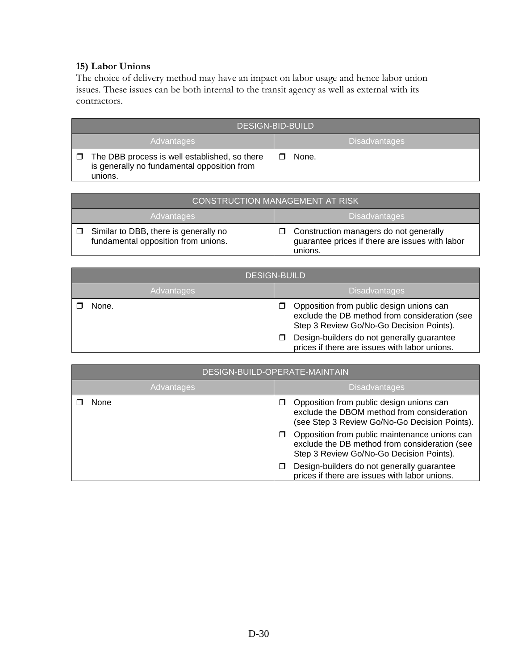#### **15) Labor Unions**

The choice of delivery method may have an impact on labor usage and hence labor union issues. These issues can be both internal to the transit agency as well as external with its contractors.

| <b>DESIGN-BID-BUILD</b>                                                                                 |  |                      |  |  |
|---------------------------------------------------------------------------------------------------------|--|----------------------|--|--|
| Advantages                                                                                              |  | <b>Disadvantages</b> |  |  |
| The DBB process is well established, so there<br>is generally no fundamental opposition from<br>unions. |  | None.                |  |  |

| <b>CONSTRUCTION MANAGEMENT AT RISK</b>                                       |                                                                                                           |  |
|------------------------------------------------------------------------------|-----------------------------------------------------------------------------------------------------------|--|
| <b>Advantages</b>                                                            | <b>Disadvantages</b>                                                                                      |  |
| Similar to DBB, there is generally no<br>fundamental opposition from unions. | Construction managers do not generally<br>П<br>guarantee prices if there are issues with labor<br>unions. |  |

| <b>DESIGN-BUILD</b> |                                                                                                                                            |  |
|---------------------|--------------------------------------------------------------------------------------------------------------------------------------------|--|
| Advantages          | <b>Disadvantages</b>                                                                                                                       |  |
| None.               | Opposition from public design unions can<br>□<br>exclude the DB method from consideration (see<br>Step 3 Review Go/No-Go Decision Points). |  |
|                     | Design-builders do not generally guarantee<br>П<br>prices if there are issues with labor unions.                                           |  |

| DESIGN-BUILD-OPERATE-MAINTAIN |                                                                                                                                            |  |
|-------------------------------|--------------------------------------------------------------------------------------------------------------------------------------------|--|
| Advantages                    | <b>Disadvantages</b>                                                                                                                       |  |
| None                          | Opposition from public design unions can<br>exclude the DBOM method from consideration<br>(see Step 3 Review Go/No-Go Decision Points).    |  |
|                               | Opposition from public maintenance unions can<br>exclude the DB method from consideration (see<br>Step 3 Review Go/No-Go Decision Points). |  |
|                               | Design-builders do not generally guarantee<br>prices if there are issues with labor unions.                                                |  |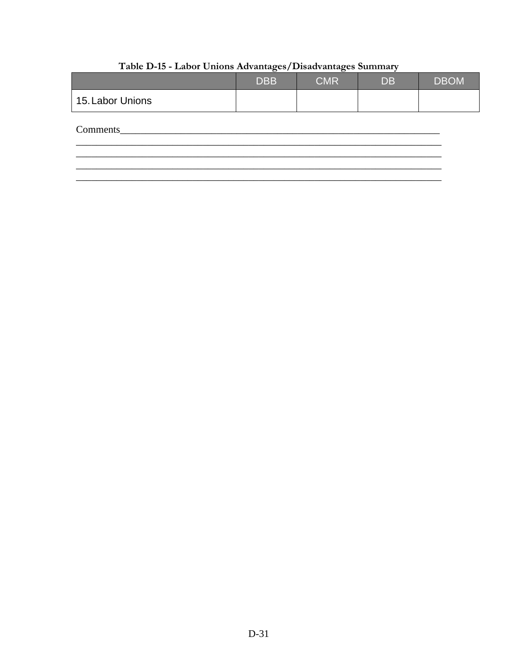|                  | <b>DBB</b> | <b>CMR</b> | <b>DB</b> | <b>DBOM</b> |
|------------------|------------|------------|-----------|-------------|
| 15. Labor Unions |            |            |           |             |
| Comments         |            |            |           |             |
|                  |            |            |           |             |

# Table D-15 - Labor Unions Advantages/Disadvantages Summary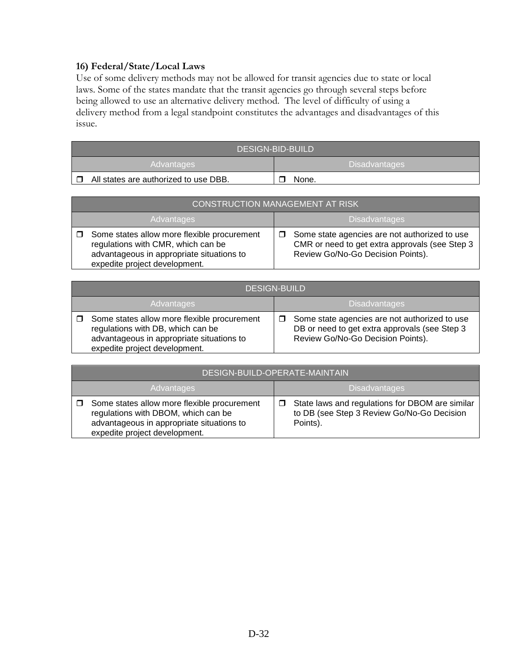#### **16) Federal/State/Local Laws**

Use of some delivery methods may not be allowed for transit agencies due to state or local laws. Some of the states mandate that the transit agencies go through several steps before being allowed to use an alternative delivery method. The level of difficulty of using a delivery method from a legal standpoint constitutes the advantages and disadvantages of this issue.

| DESIGN-BID-BUILD                      |                      |  |
|---------------------------------------|----------------------|--|
| Advantages                            | <b>Disadvantages</b> |  |
| All states are authorized to use DBB. | None.                |  |

|                   | CONSTRUCTION MANAGEMENT AT RISK                                                                                                                                 |  |                                                                                                                                      |  |
|-------------------|-----------------------------------------------------------------------------------------------------------------------------------------------------------------|--|--------------------------------------------------------------------------------------------------------------------------------------|--|
| <b>Advantages</b> |                                                                                                                                                                 |  | Disadvantages                                                                                                                        |  |
|                   | Some states allow more flexible procurement<br>regulations with CMR, which can be<br>advantageous in appropriate situations to<br>expedite project development. |  | Some state agencies are not authorized to use<br>CMR or need to get extra approvals (see Step 3<br>Review Go/No-Go Decision Points). |  |

| <b>DESIGN-BUILD</b>                                                                                                                                                   |                                                                                                                                     |  |  |
|-----------------------------------------------------------------------------------------------------------------------------------------------------------------------|-------------------------------------------------------------------------------------------------------------------------------------|--|--|
| <b>Advantages</b>                                                                                                                                                     | <b>Disadvantages</b>                                                                                                                |  |  |
| $\Box$ Some states allow more flexible procurement<br>regulations with DB, which can be<br>advantageous in appropriate situations to<br>expedite project development. | Some state agencies are not authorized to use<br>DB or need to get extra approvals (see Step 3<br>Review Go/No-Go Decision Points). |  |  |

| DESIGN-BUILD-OPERATE-MAINTAIN                                                                                                                                    |                                                                                                           |  |
|------------------------------------------------------------------------------------------------------------------------------------------------------------------|-----------------------------------------------------------------------------------------------------------|--|
| <b>Disadvantages</b><br><b>Advantages</b>                                                                                                                        |                                                                                                           |  |
| Some states allow more flexible procurement<br>regulations with DBOM, which can be<br>advantageous in appropriate situations to<br>expedite project development. | State laws and regulations for DBOM are similar<br>to DB (see Step 3 Review Go/No-Go Decision<br>Points). |  |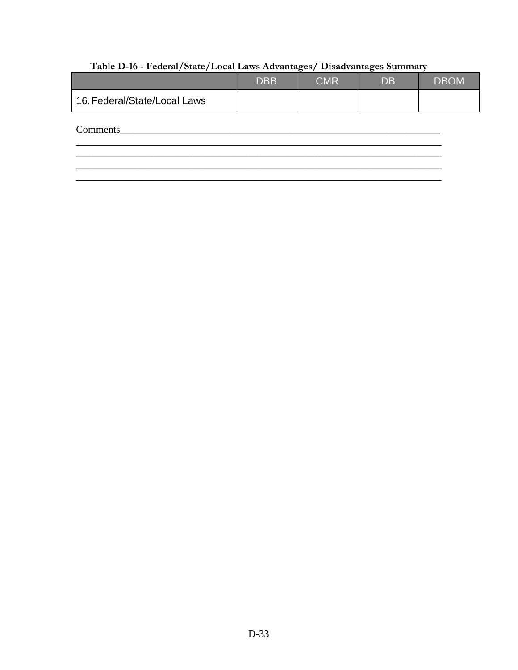# Table D-16 - Federal/State/Local Laws Advantages/ Disadvantages Summary

|                              | <b>DBB</b> | <b>CMR</b> | <b>DB</b> | <b>DBOM</b> |
|------------------------------|------------|------------|-----------|-------------|
| 16. Federal/State/Local Laws |            |            |           |             |
| Comments                     |            |            |           |             |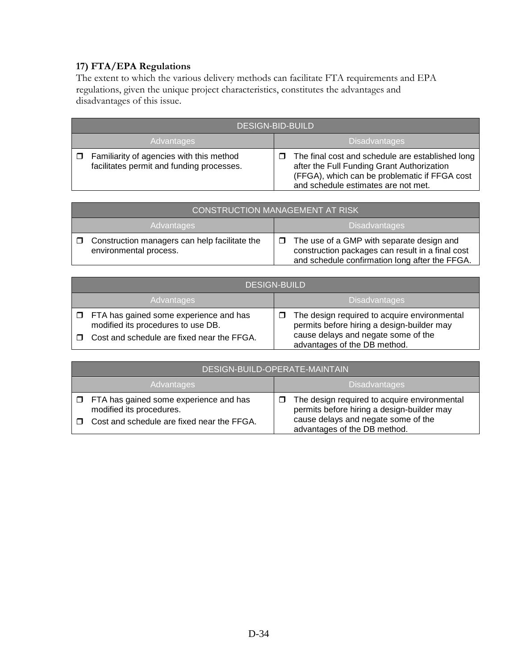# **17) FTA/EPA Regulations**

The extent to which the various delivery methods can facilitate FTA requirements and EPA regulations, given the unique project characteristics, constitutes the advantages and disadvantages of this issue.

|            | <b>DESIGN-BID-BUILD</b>                                                               |                      |                                                                                                                                                                                        |
|------------|---------------------------------------------------------------------------------------|----------------------|----------------------------------------------------------------------------------------------------------------------------------------------------------------------------------------|
| Advantages |                                                                                       | <b>Disadvantages</b> |                                                                                                                                                                                        |
| $\Box$     | Familiarity of agencies with this method<br>facilitates permit and funding processes. | п                    | The final cost and schedule are established long<br>after the Full Funding Grant Authorization<br>(FFGA), which can be problematic if FFGA cost<br>and schedule estimates are not met. |

| CONSTRUCTION MANAGEMENT AT RISK <sup>1</sup>                                      |                                                                                                                                                           |  |
|-----------------------------------------------------------------------------------|-----------------------------------------------------------------------------------------------------------------------------------------------------------|--|
| <b>Advantages</b>                                                                 | <b>Disadvantages</b>                                                                                                                                      |  |
| Construction managers can help facilitate the<br>$\Box$<br>environmental process. | The use of a GMP with separate design and<br>$\Box$<br>construction packages can result in a final cost<br>and schedule confirmation long after the FFGA. |  |

|                             | <b>DESIGN-BUILD</b>                                                                 |  |                                                                                            |  |
|-----------------------------|-------------------------------------------------------------------------------------|--|--------------------------------------------------------------------------------------------|--|
| Disadvantages<br>Advantages |                                                                                     |  |                                                                                            |  |
|                             | $\Box$ FTA has gained some experience and has<br>modified its procedures to use DB. |  | The design required to acquire environmental<br>permits before hiring a design-builder may |  |
| □                           | Cost and schedule are fixed near the FFGA.                                          |  | cause delays and negate some of the<br>advantages of the DB method.                        |  |

| DESIGN-BUILD-OPERATE-MAINTAIN                                             |  |                                                                                            |  |  |
|---------------------------------------------------------------------------|--|--------------------------------------------------------------------------------------------|--|--|
| <b>Disadvantages</b><br><b>Advantages</b>                                 |  |                                                                                            |  |  |
| $\Box$ FTA has gained some experience and has<br>modified its procedures. |  | The design required to acquire environmental<br>permits before hiring a design-builder may |  |  |
| Cost and schedule are fixed near the FFGA.                                |  | cause delays and negate some of the<br>advantages of the DB method.                        |  |  |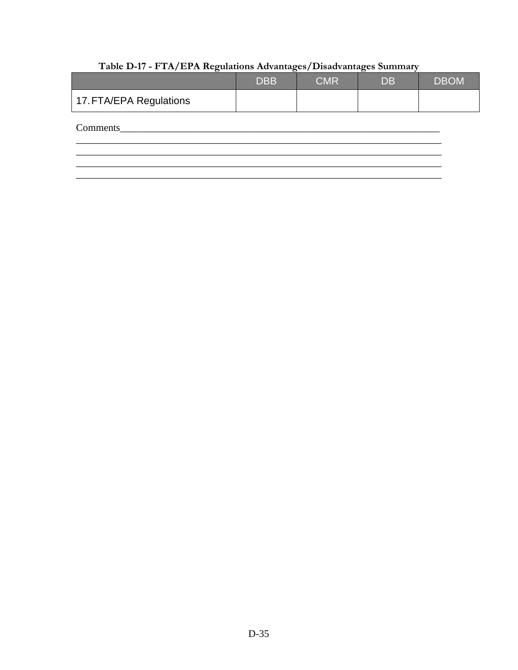|                         | <b>DBB</b> | <b>CMR</b> | <b>DB</b> | <b>DBOM</b> |
|-------------------------|------------|------------|-----------|-------------|
| 17. FTA/EPA Regulations |            |            |           |             |
| Comments                |            |            |           |             |
|                         |            |            |           |             |

# Table D-17 - FTA/EPA Regulations Advantages/Disadvantages Summary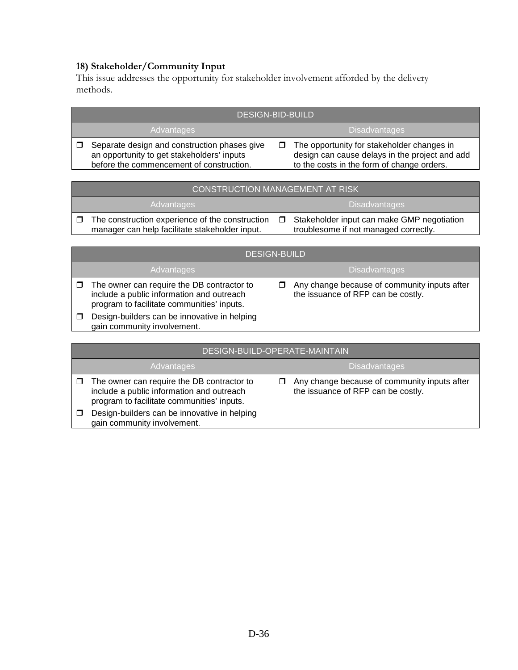#### **18) Stakeholder/Community Input**

This issue addresses the opportunity for stakeholder involvement afforded by the delivery methods.

|            | <b>DESIGN-BID-BUILD</b>                                                                                                                |  |                                                                                                                                            |  |  |
|------------|----------------------------------------------------------------------------------------------------------------------------------------|--|--------------------------------------------------------------------------------------------------------------------------------------------|--|--|
| Advantages |                                                                                                                                        |  | <b>Disadvantages</b>                                                                                                                       |  |  |
|            | Separate design and construction phases give<br>an opportunity to get stakeholders' inputs<br>before the commencement of construction. |  | The opportunity for stakeholder changes in<br>design can cause delays in the project and add<br>to the costs in the form of change orders. |  |  |

| CONSTRUCTION MANAGEMENT AT RISK                                                                   |        |                                                                                     |  |  |
|---------------------------------------------------------------------------------------------------|--------|-------------------------------------------------------------------------------------|--|--|
| <b>Disadvantages</b><br>Advantages                                                                |        |                                                                                     |  |  |
| The construction experience of the construction<br>manager can help facilitate stakeholder input. | $\Box$ | Stakeholder input can make GMP negotiation<br>troublesome if not managed correctly. |  |  |

|            | <b>DESIGN-BUILD</b>                                                                                                                   |  |                                                                                    |  |  |
|------------|---------------------------------------------------------------------------------------------------------------------------------------|--|------------------------------------------------------------------------------------|--|--|
| Advantages |                                                                                                                                       |  | <b>Disadvantages</b>                                                               |  |  |
|            | The owner can require the DB contractor to<br>include a public information and outreach<br>program to facilitate communities' inputs. |  | Any change because of community inputs after<br>the issuance of RFP can be costly. |  |  |
|            | Design-builders can be innovative in helping<br>gain community involvement.                                                           |  |                                                                                    |  |  |

| DESIGN-BUILD-OPERATE-MAINTAIN                                                                                                         |  |                                                                                    |  |  |
|---------------------------------------------------------------------------------------------------------------------------------------|--|------------------------------------------------------------------------------------|--|--|
| Advantages                                                                                                                            |  | <b>Disadvantages</b>                                                               |  |  |
| The owner can require the DB contractor to<br>include a public information and outreach<br>program to facilitate communities' inputs. |  | Any change because of community inputs after<br>the issuance of RFP can be costly. |  |  |
| Design-builders can be innovative in helping<br>gain community involvement.                                                           |  |                                                                                    |  |  |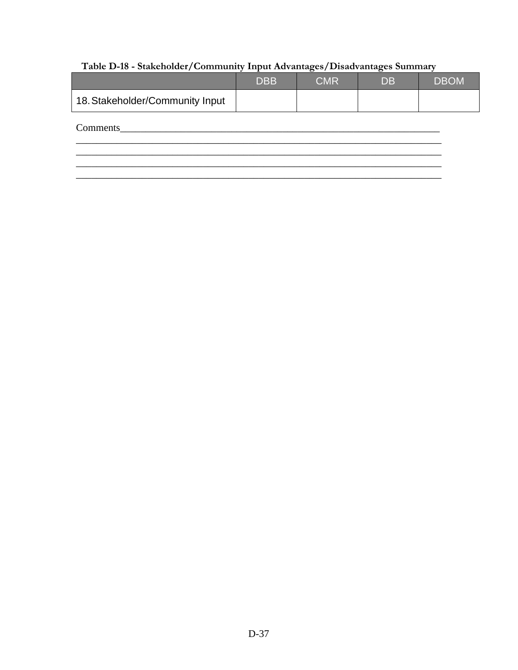# Table D-18 - Stakeholder/Community Input Advantages/Disadvantages Summary

| <b>DBB</b> | <b>CMR</b> | <b>DB</b> | <b>DBOM</b> |
|------------|------------|-----------|-------------|
|            |            |           |             |
|            |            |           |             |
|            |            |           |             |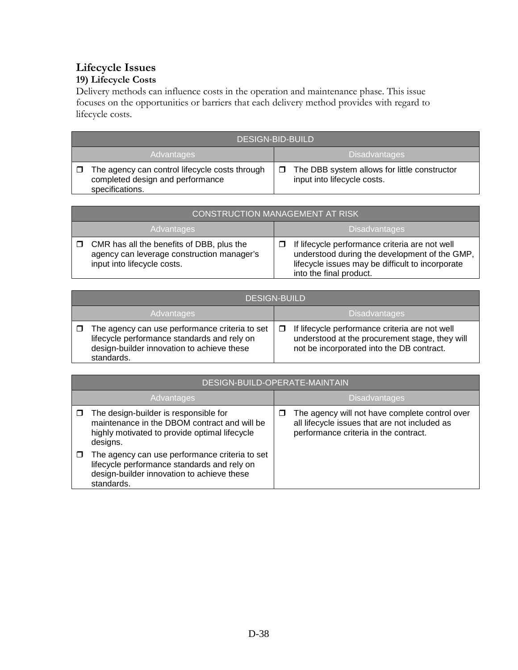# **Lifecycle Issues 19) Lifecycle Costs**

Delivery methods can influence costs in the operation and maintenance phase. This issue focuses on the opportunities or barriers that each delivery method provides with regard to lifecycle costs.

| <b>DESIGN-BID-BUILD</b>                                                                               |                                                                             |  |  |
|-------------------------------------------------------------------------------------------------------|-----------------------------------------------------------------------------|--|--|
| Advantages                                                                                            | <b>Disadvantages</b>                                                        |  |  |
| The agency can control lifecycle costs through<br>completed design and performance<br>specifications. | The DBB system allows for little constructor<br>input into lifecycle costs. |  |  |

| CONSTRUCTION MANAGEMENT AT RISK                                                                                        |                                                                                                                                                                                |  |  |  |
|------------------------------------------------------------------------------------------------------------------------|--------------------------------------------------------------------------------------------------------------------------------------------------------------------------------|--|--|--|
| <b>Advantages</b>                                                                                                      | <b>Disadvantages</b>                                                                                                                                                           |  |  |  |
| CMR has all the benefits of DBB, plus the<br>agency can leverage construction manager's<br>input into lifecycle costs. | If lifecycle performance criteria are not well<br>understood during the development of the GMP,<br>lifecycle issues may be difficult to incorporate<br>into the final product. |  |  |  |

|            | <b>DESIGN-BUILD</b>                                                                                                                                       |  |                                                                                                                                                                              |  |  |
|------------|-----------------------------------------------------------------------------------------------------------------------------------------------------------|--|------------------------------------------------------------------------------------------------------------------------------------------------------------------------------|--|--|
| Advantages |                                                                                                                                                           |  | <b>Disadvantages</b><br>$\Box$ If lifecycle performance criteria are not well<br>understood at the procurement stage, they will<br>not be incorporated into the DB contract. |  |  |
|            | The agency can use performance criteria to set<br>lifecycle performance standards and rely on<br>design-builder innovation to achieve these<br>standards. |  |                                                                                                                                                                              |  |  |

|            | DESIGN-BUILD-OPERATE-MAINTAIN                                                                                                                             |        |                                                                                                                                          |  |  |
|------------|-----------------------------------------------------------------------------------------------------------------------------------------------------------|--------|------------------------------------------------------------------------------------------------------------------------------------------|--|--|
| Advantages |                                                                                                                                                           |        | <b>Disadvantages</b>                                                                                                                     |  |  |
|            | The design-builder is responsible for<br>maintenance in the DBOM contract and will be<br>highly motivated to provide optimal lifecycle<br>designs.        | $\Box$ | The agency will not have complete control over<br>all lifecycle issues that are not included as<br>performance criteria in the contract. |  |  |
|            | The agency can use performance criteria to set<br>lifecycle performance standards and rely on<br>design-builder innovation to achieve these<br>standards. |        |                                                                                                                                          |  |  |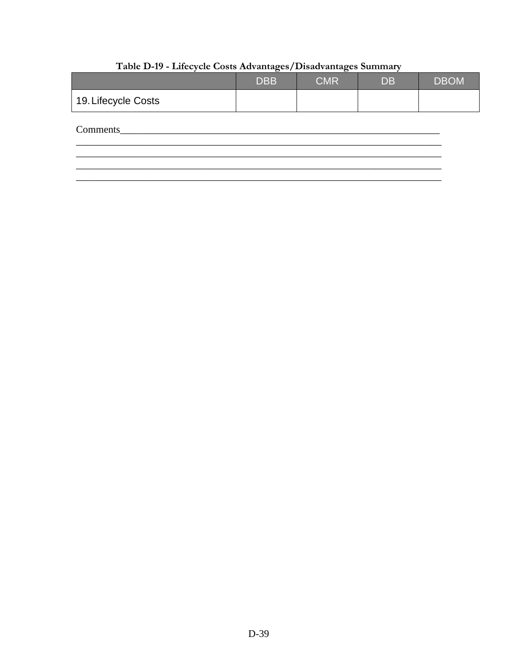|                     | <b>DBB</b> | <b>CMR</b> | <b>DB</b> | <b>DBOM</b> |
|---------------------|------------|------------|-----------|-------------|
| 19. Lifecycle Costs |            |            |           |             |
| Comments            |            |            |           |             |
|                     |            |            |           |             |

# Table D-19 - Lifecycle Costs Advantages/Disadvantages Summary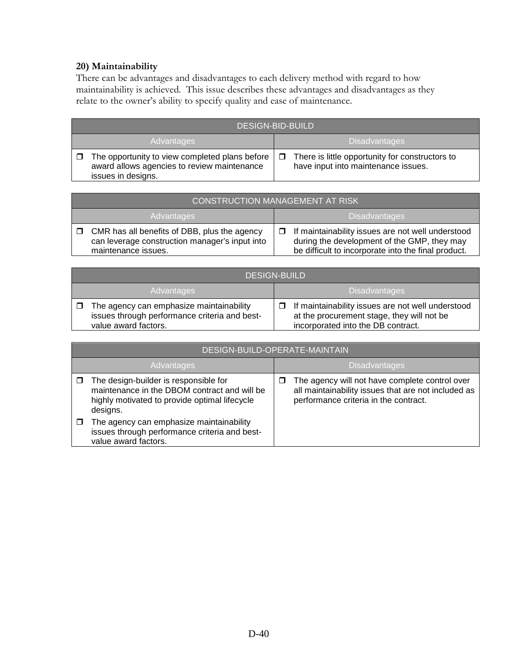#### **20) Maintainability**

There can be advantages and disadvantages to each delivery method with regard to how maintainability is achieved. This issue describes these advantages and disadvantages as they relate to the owner's ability to specify quality and ease of maintenance.

|                   | <b>DESIGN-BID-BUILD</b>                                                                                             |                             |                                                                                        |
|-------------------|---------------------------------------------------------------------------------------------------------------------|-----------------------------|----------------------------------------------------------------------------------------|
| <b>Advantages</b> |                                                                                                                     | 'Disadvantages <sub>'</sub> |                                                                                        |
|                   | The opportunity to view completed plans before<br>award allows agencies to review maintenance<br>issues in designs. | $\Box$                      | There is little opportunity for constructors to<br>have input into maintenance issues. |

| <b>CONSTRUCTION MANAGEMENT AT RISK</b>                                                                                       |                                                                                                                                                                |  |
|------------------------------------------------------------------------------------------------------------------------------|----------------------------------------------------------------------------------------------------------------------------------------------------------------|--|
| <b>Advantages</b>                                                                                                            | Disadvantages                                                                                                                                                  |  |
| $\Box$ CMR has all benefits of DBB, plus the agency<br>can leverage construction manager's input into<br>maintenance issues. | $\Box$ If maintainability issues are not well understood<br>during the development of the GMP, they may<br>be difficult to incorporate into the final product. |  |

|            | <b>DESIGN-BUILD</b>                                                                                               |                      |                                                                                                                                       |
|------------|-------------------------------------------------------------------------------------------------------------------|----------------------|---------------------------------------------------------------------------------------------------------------------------------------|
| Advantages |                                                                                                                   | <b>Disadvantages</b> |                                                                                                                                       |
|            | The agency can emphasize maintainability<br>issues through performance criteria and best-<br>value award factors. |                      | If maintainability issues are not well understood<br>at the procurement stage, they will not be<br>incorporated into the DB contract. |

| DESIGN-BUILD-OPERATE-MAINTAIN                                                                                                                      |        |                                                                                                                                                |  |
|----------------------------------------------------------------------------------------------------------------------------------------------------|--------|------------------------------------------------------------------------------------------------------------------------------------------------|--|
| Advantages                                                                                                                                         |        | <b>Disadvantages</b>                                                                                                                           |  |
| The design-builder is responsible for<br>maintenance in the DBOM contract and will be<br>highly motivated to provide optimal lifecycle<br>designs. | $\Box$ | The agency will not have complete control over<br>all maintainability issues that are not included as<br>performance criteria in the contract. |  |
| The agency can emphasize maintainability<br>issues through performance criteria and best-<br>value award factors.                                  |        |                                                                                                                                                |  |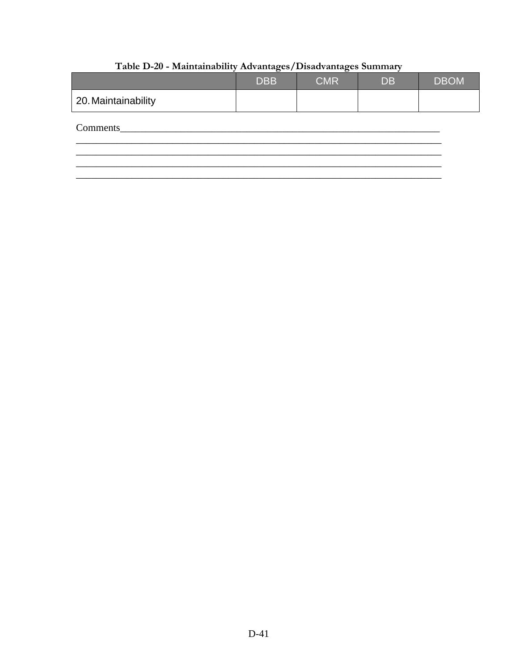|                     | <b>DBB</b> | <b>CMR</b> | <b>DB</b> | <b>DBOM</b> |
|---------------------|------------|------------|-----------|-------------|
| 20. Maintainability |            |            |           |             |
| Comments            |            |            |           |             |
|                     |            |            |           |             |

# Table D-20 - Maintainability Advantages/Disadvantages Summary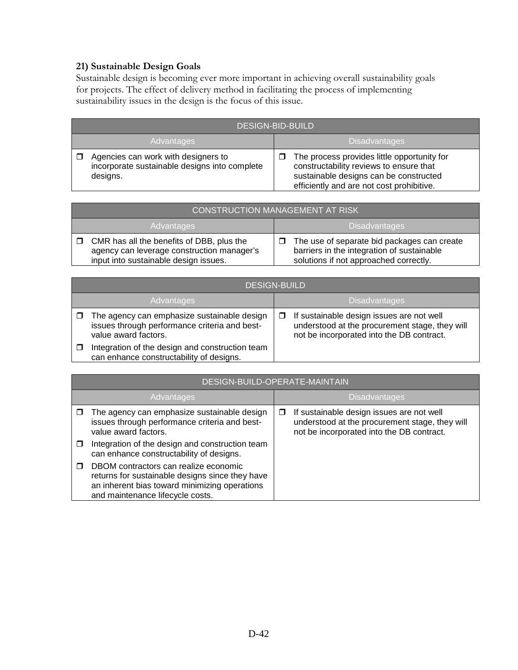# **21) Sustainable Design Goals**

Sustainable design is becoming ever more important in achieving overall sustainability goals for projects. The effect of delivery method in facilitating the process of implementing sustainability issues in the design is the focus of this issue.

| <b>DESIGN-BID-BUILD</b>                                                                          |  |                                                                                                                                                                               |
|--------------------------------------------------------------------------------------------------|--|-------------------------------------------------------------------------------------------------------------------------------------------------------------------------------|
| Advantages                                                                                       |  | <b>Disadvantages</b>                                                                                                                                                          |
| Agencies can work with designers to<br>incorporate sustainable designs into complete<br>designs. |  | The process provides little opportunity for<br>constructability reviews to ensure that<br>sustainable designs can be constructed<br>efficiently and are not cost prohibitive. |

| <b>CONSTRUCTION MANAGEMENT AT RISK</b>                                                                                           |                                                                                                                                     |  |  |
|----------------------------------------------------------------------------------------------------------------------------------|-------------------------------------------------------------------------------------------------------------------------------------|--|--|
| Advantages                                                                                                                       | <b>Disadvantages</b>                                                                                                                |  |  |
| CMR has all the benefits of DBB, plus the<br>agency can leverage construction manager's<br>input into sustainable design issues. | The use of separate bid packages can create<br>barriers in the integration of sustainable<br>solutions if not approached correctly. |  |  |

|            | <b>DESIGN-BUILD</b>                                                                                                  |                      |                                                                                                                                          |  |  |
|------------|----------------------------------------------------------------------------------------------------------------------|----------------------|------------------------------------------------------------------------------------------------------------------------------------------|--|--|
| Advantages |                                                                                                                      | <b>Disadvantages</b> |                                                                                                                                          |  |  |
|            | The agency can emphasize sustainable design<br>issues through performance criteria and best-<br>value award factors. |                      | If sustainable design issues are not well<br>understood at the procurement stage, they will<br>not be incorporated into the DB contract. |  |  |
|            | Integration of the design and construction team<br>can enhance constructability of designs.                          |                      |                                                                                                                                          |  |  |

| DESIGN-BUILD-OPERATE-MAINTAIN                                                                                                                                                 |   |                                                                                                                                          |  |  |
|-------------------------------------------------------------------------------------------------------------------------------------------------------------------------------|---|------------------------------------------------------------------------------------------------------------------------------------------|--|--|
| Advantages                                                                                                                                                                    |   | <b>Disadvantages</b>                                                                                                                     |  |  |
| The agency can emphasize sustainable design<br>issues through performance criteria and best-<br>value award factors.                                                          | □ | If sustainable design issues are not well<br>understood at the procurement stage, they will<br>not be incorporated into the DB contract. |  |  |
| Integration of the design and construction team<br>can enhance constructability of designs.                                                                                   |   |                                                                                                                                          |  |  |
| DBOM contractors can realize economic<br>returns for sustainable designs since they have<br>an inherent bias toward minimizing operations<br>and maintenance lifecycle costs. |   |                                                                                                                                          |  |  |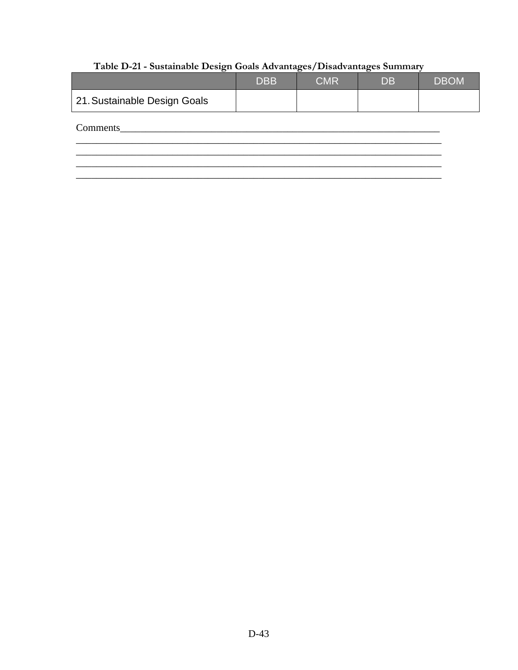# Table D-21 - Sustainable Design Goals Advantages/Disadvantages Summary

|                              | <b>DBB</b> | <b>CMR</b> | <b>DB</b> | <b>DBOM</b> |
|------------------------------|------------|------------|-----------|-------------|
| 21. Sustainable Design Goals |            |            |           |             |
| Comments                     |            |            |           |             |
|                              |            |            |           |             |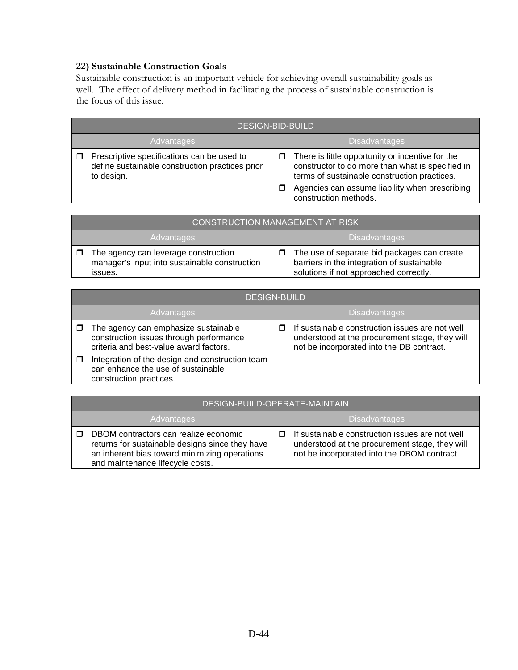#### **22) Sustainable Construction Goals**

Sustainable construction is an important vehicle for achieving overall sustainability goals as well. The effect of delivery method in facilitating the process of sustainable construction is the focus of this issue.

|            | <b>DESIGN-BID-BUILD</b>                                                                                     |                      |                                                                                                                                                      |
|------------|-------------------------------------------------------------------------------------------------------------|----------------------|------------------------------------------------------------------------------------------------------------------------------------------------------|
| Advantages |                                                                                                             | <b>Disadvantages</b> |                                                                                                                                                      |
|            | Prescriptive specifications can be used to<br>define sustainable construction practices prior<br>to design. | □                    | There is little opportunity or incentive for the<br>constructor to do more than what is specified in<br>terms of sustainable construction practices. |
|            |                                                                                                             |                      | Agencies can assume liability when prescribing<br>construction methods.                                                                              |

| <b>CONSTRUCTION MANAGEMENT AT RISK</b>                                                           |                                                                                                                                     |  |
|--------------------------------------------------------------------------------------------------|-------------------------------------------------------------------------------------------------------------------------------------|--|
| <b>Advantages</b>                                                                                | <b>Disadvantages</b>                                                                                                                |  |
| The agency can leverage construction<br>manager's input into sustainable construction<br>issues. | The use of separate bid packages can create<br>barriers in the integration of sustainable<br>solutions if not approached correctly. |  |

| <b>DESIGN-BUILD</b>                                                                                                       |  |                                                                                                                                                |  |
|---------------------------------------------------------------------------------------------------------------------------|--|------------------------------------------------------------------------------------------------------------------------------------------------|--|
| Advantages                                                                                                                |  | <b>Disadvantages</b>                                                                                                                           |  |
| The agency can emphasize sustainable<br>construction issues through performance<br>criteria and best-value award factors. |  | If sustainable construction issues are not well<br>understood at the procurement stage, they will<br>not be incorporated into the DB contract. |  |
| Integration of the design and construction team<br>can enhance the use of sustainable<br>construction practices.          |  |                                                                                                                                                |  |

|                   | DESIGN-BUILD-OPERATE-MAINTAIN                                                                                                                                                 |                      |                                                                                                                                                         |
|-------------------|-------------------------------------------------------------------------------------------------------------------------------------------------------------------------------|----------------------|---------------------------------------------------------------------------------------------------------------------------------------------------------|
| <b>Advantages</b> |                                                                                                                                                                               | <b>Disadvantages</b> |                                                                                                                                                         |
|                   | DBOM contractors can realize economic<br>returns for sustainable designs since they have<br>an inherent bias toward minimizing operations<br>and maintenance lifecycle costs. |                      | $\Box$ If sustainable construction issues are not well<br>understood at the procurement stage, they will<br>not be incorporated into the DBOM contract. |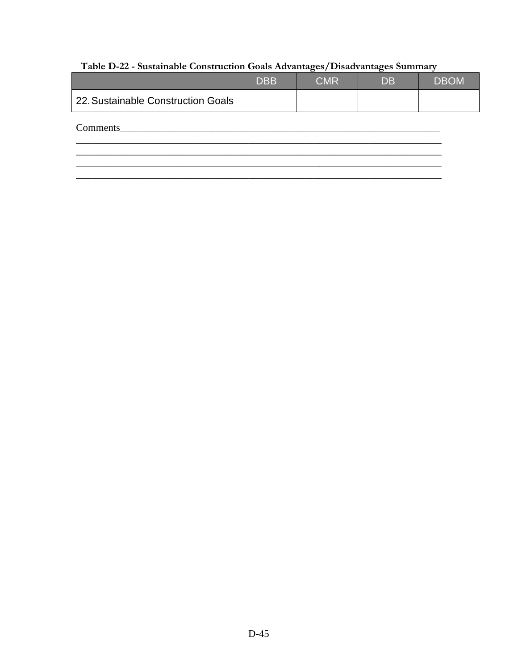# Table D-22 - Sustainable Construction Goals Advantages/Disadvantages Summary

|                                    | <b>DBB</b> | <b>CMR</b> | <b>DB</b> | <b>DBOM</b> |
|------------------------------------|------------|------------|-----------|-------------|
| 22. Sustainable Construction Goals |            |            |           |             |
| Comments                           |            |            |           |             |
|                                    |            |            |           |             |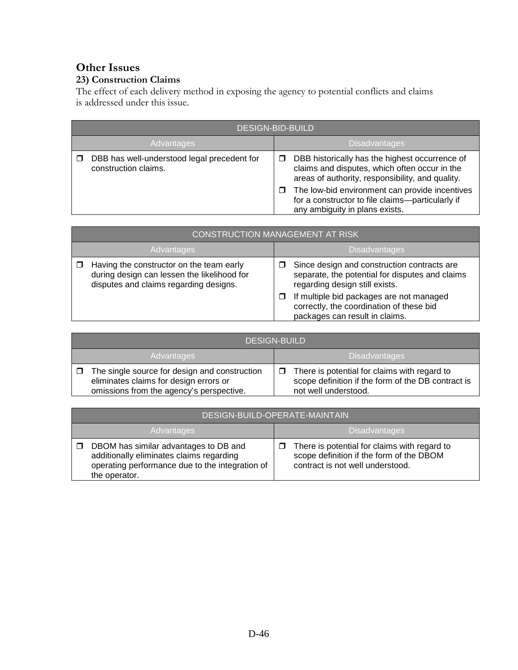# **Other Issues**

#### **23) Construction Claims**

The effect of each delivery method in exposing the agency to potential conflicts and claims is addressed under this issue.

| <b>DESIGN-BID-BUILD</b>                                             |   |                                                                                                                                                     |
|---------------------------------------------------------------------|---|-----------------------------------------------------------------------------------------------------------------------------------------------------|
| Advantages                                                          |   | <b>Disadvantages</b>                                                                                                                                |
| DBB has well-understood legal precedent for<br>construction claims. | □ | DBB historically has the highest occurrence of<br>claims and disputes, which often occur in the<br>areas of authority, responsibility, and quality. |
|                                                                     | □ | The low-bid environment can provide incentives<br>for a constructor to file claims-particularly if<br>any ambiguity in plans exists.                |

|            | <b>CONSTRUCTION MANAGEMENT AT RISK</b>                                                                                            |   |                                                                                                                                  |  |
|------------|-----------------------------------------------------------------------------------------------------------------------------------|---|----------------------------------------------------------------------------------------------------------------------------------|--|
| Advantages |                                                                                                                                   |   | <b>Disadvantages</b>                                                                                                             |  |
|            | Having the constructor on the team early<br>during design can lessen the likelihood for<br>disputes and claims regarding designs. |   | Since design and construction contracts are<br>separate, the potential for disputes and claims<br>regarding design still exists. |  |
|            |                                                                                                                                   | □ | If multiple bid packages are not managed<br>correctly, the coordination of these bid<br>packages can result in claims.           |  |

| <b>DESIGN-BUILD</b>                                                                                                                 |   |                                                                                                                            |
|-------------------------------------------------------------------------------------------------------------------------------------|---|----------------------------------------------------------------------------------------------------------------------------|
| Advantages                                                                                                                          |   | <b>Disadvantages</b>                                                                                                       |
| The single source for design and construction<br>eliminates claims for design errors or<br>omissions from the agency's perspective. | □ | There is potential for claims with regard to<br>scope definition if the form of the DB contract is<br>not well understood. |

|                   | DESIGN-BUILD-OPERATE-MAINTAIN                                                                                                                         |                      |                                                                                                                              |
|-------------------|-------------------------------------------------------------------------------------------------------------------------------------------------------|----------------------|------------------------------------------------------------------------------------------------------------------------------|
| <b>Advantages</b> |                                                                                                                                                       | <b>Disadvantages</b> |                                                                                                                              |
|                   | DBOM has similar advantages to DB and<br>additionally eliminates claims regarding<br>operating performance due to the integration of<br>the operator. |                      | There is potential for claims with regard to<br>scope definition if the form of the DBOM<br>contract is not well understood. |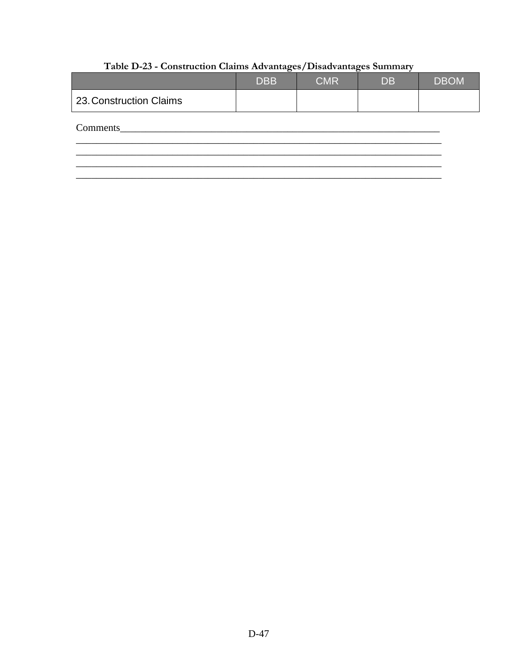|                         | <b>DBB</b> | <b>CMR</b> | <b>DB</b> | <b>DBOM</b> |
|-------------------------|------------|------------|-----------|-------------|
| 23. Construction Claims |            |            |           |             |
| Comments                |            |            |           |             |
|                         |            |            |           |             |

# Table D-23 - Construction Claims Advantages/Disadvantages Summary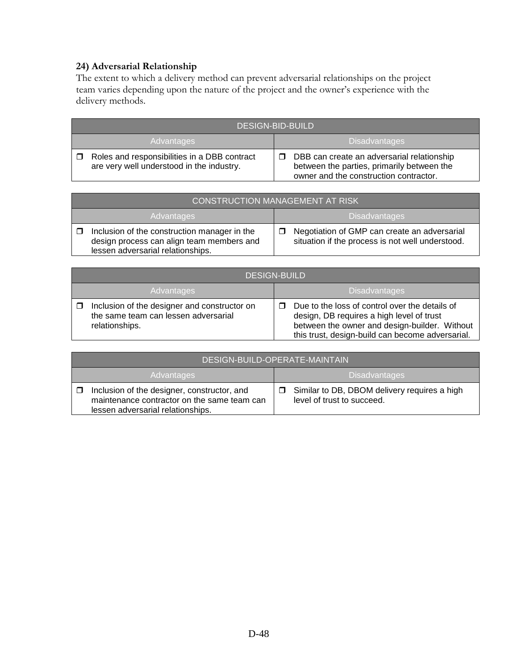#### **24) Adversarial Relationship**

The extent to which a delivery method can prevent adversarial relationships on the project team varies depending upon the nature of the project and the owner's experience with the delivery methods.

| <b>DESIGN-BID-BUILD</b>                                                                   |                                                                                                                                    |  |
|-------------------------------------------------------------------------------------------|------------------------------------------------------------------------------------------------------------------------------------|--|
| Advantages                                                                                | <b>Disadvantages</b>                                                                                                               |  |
| Roles and responsibilities in a DBB contract<br>are very well understood in the industry. | DBB can create an adversarial relationship<br>between the parties, primarily between the<br>owner and the construction contractor. |  |

| <b>CONSTRUCTION MANAGEMENT AT RISK</b>                                                                                         |  |                                                                                                  |
|--------------------------------------------------------------------------------------------------------------------------------|--|--------------------------------------------------------------------------------------------------|
| Advantages                                                                                                                     |  | <b>Disadvantages</b>                                                                             |
| Inclusion of the construction manager in the<br>design process can align team members and<br>lessen adversarial relationships. |  | Negotiation of GMP can create an adversarial<br>situation if the process is not well understood. |

| <b>DESIGN-BUILD</b>                                                                                    |  |                                                                                                                                                                                                  |  |
|--------------------------------------------------------------------------------------------------------|--|--------------------------------------------------------------------------------------------------------------------------------------------------------------------------------------------------|--|
| Advantages                                                                                             |  | <b>Disadvantages</b>                                                                                                                                                                             |  |
| Inclusion of the designer and constructor on<br>the same team can lessen adversarial<br>relationships. |  | Due to the loss of control over the details of<br>design, DB requires a high level of trust<br>between the owner and design-builder. Without<br>this trust, design-build can become adversarial. |  |

| DESIGN-BUILD-OPERATE-MAINTAIN                                                                                                   |                                                                            |  |
|---------------------------------------------------------------------------------------------------------------------------------|----------------------------------------------------------------------------|--|
| Advantages                                                                                                                      | <b>Disadvantages</b>                                                       |  |
| Inclusion of the designer, constructor, and<br>maintenance contractor on the same team can<br>lessen adversarial relationships. | Similar to DB, DBOM delivery requires a high<br>level of trust to succeed. |  |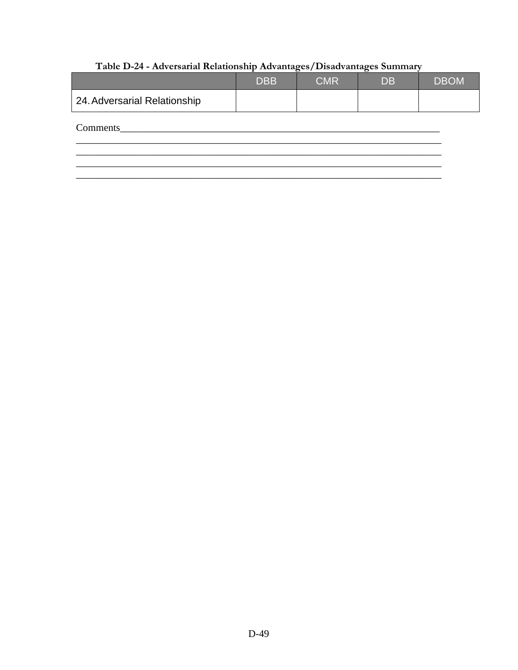# Table D-24 - Adversarial Relationship Advantages/Disadvantages Summary

|                              | <b>DBB</b> | <b>CMR</b> | <b>DB</b> | <b>DBOM</b> |
|------------------------------|------------|------------|-----------|-------------|
| 24. Adversarial Relationship |            |            |           |             |
| Comments                     |            |            |           |             |
|                              |            |            |           |             |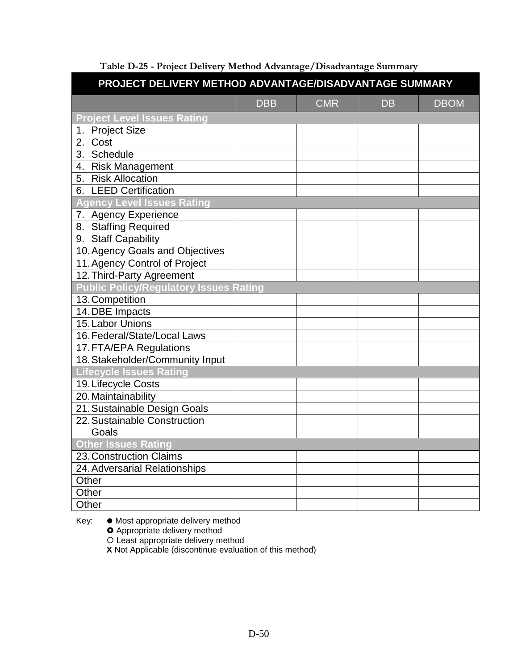| PROJECT DELIVERY METHOD ADVANTAGE/DISADVANTAGE SUMMARY |            |            |           |             |  |  |
|--------------------------------------------------------|------------|------------|-----------|-------------|--|--|
|                                                        | <b>DBB</b> | <b>CMR</b> | <b>DB</b> | <b>DBOM</b> |  |  |
| <b>Project Level Issues Rating</b>                     |            |            |           |             |  |  |
| 1. Project Size                                        |            |            |           |             |  |  |
| 2. Cost                                                |            |            |           |             |  |  |
| 3. Schedule                                            |            |            |           |             |  |  |
| 4. Risk Management                                     |            |            |           |             |  |  |
| 5. Risk Allocation                                     |            |            |           |             |  |  |
| 6. LEED Certification                                  |            |            |           |             |  |  |
| <b>Agency Level Issues Rating</b>                      |            |            |           |             |  |  |
| 7. Agency Experience                                   |            |            |           |             |  |  |
| 8. Staffing Required                                   |            |            |           |             |  |  |
| 9. Staff Capability                                    |            |            |           |             |  |  |
| 10. Agency Goals and Objectives                        |            |            |           |             |  |  |
| 11. Agency Control of Project                          |            |            |           |             |  |  |
| 12. Third-Party Agreement                              |            |            |           |             |  |  |
| <b>Public Policy/Regulatory Issues Rating</b>          |            |            |           |             |  |  |
| 13. Competition                                        |            |            |           |             |  |  |
| 14. DBE Impacts                                        |            |            |           |             |  |  |
| 15. Labor Unions                                       |            |            |           |             |  |  |
| 16. Federal/State/Local Laws                           |            |            |           |             |  |  |
| 17. FTA/EPA Regulations                                |            |            |           |             |  |  |
| 18. Stakeholder/Community Input                        |            |            |           |             |  |  |
| <b>Lifecycle Issues Rating</b>                         |            |            |           |             |  |  |
| 19. Lifecycle Costs                                    |            |            |           |             |  |  |
| 20. Maintainability                                    |            |            |           |             |  |  |
| 21. Sustainable Design Goals                           |            |            |           |             |  |  |
| 22. Sustainable Construction                           |            |            |           |             |  |  |
| Goals                                                  |            |            |           |             |  |  |
| <b>Other Issues Rating</b>                             |            |            |           |             |  |  |
| 23. Construction Claims                                |            |            |           |             |  |  |
| 24. Adversarial Relationships                          |            |            |           |             |  |  |
| Other                                                  |            |            |           |             |  |  |
| Other                                                  |            |            |           |             |  |  |
| Other                                                  |            |            |           |             |  |  |

**Table D-25 - Project Delivery Method Advantage/Disadvantage Summary**

Key: ● Most appropriate delivery method

**O** Appropriate delivery method

Least appropriate delivery method

**X** Not Applicable (discontinue evaluation of this method)